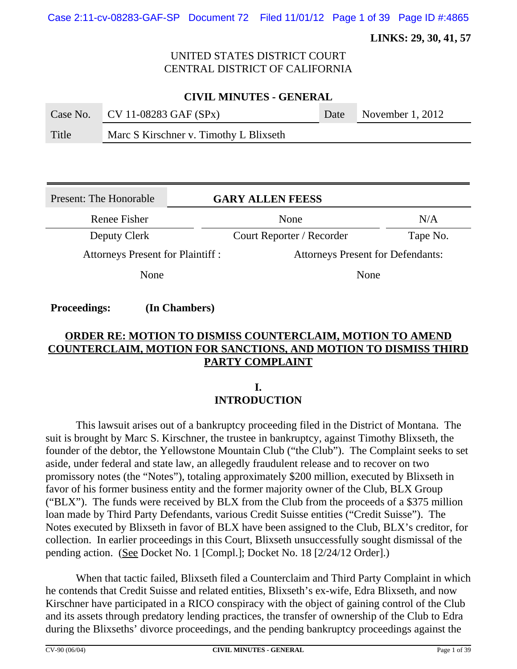Case 2:11-cv-08283-GAF-SP Document 72 Filed 11/01/12 Page 1 of 39 Page ID #:4865

 **LINKS: 29, 30, 41, 57**

### UNITED STATES DISTRICT COURT CENTRAL DISTRICT OF CALIFORNIA

| <b>CIVIL MINUTES - GENERAL</b> |                                        |      |                    |  |
|--------------------------------|----------------------------------------|------|--------------------|--|
|                                | Case No. $CV 11-08283 GAF (SPX)$       | Date | November $1, 2012$ |  |
| Title                          | Marc S Kirschner v. Timothy L Blixseth |      |                    |  |

| Present: The Honorable                  |  | <b>GARY ALLEN FEESS</b>                  |          |
|-----------------------------------------|--|------------------------------------------|----------|
| Renee Fisher                            |  | None                                     | N/A      |
| Deputy Clerk                            |  | Court Reporter / Recorder                | Tape No. |
| <b>Attorneys Present for Plaintiff:</b> |  | <b>Attorneys Present for Defendants:</b> |          |
| None                                    |  | None                                     |          |

**Proceedings: (In Chambers)**

# **ORDER RE: MOTION TO DISMISS COUNTERCLAIM, MOTION TO AMEND COUNTERCLAIM, MOTION FOR SANCTIONS, AND MOTION TO DISMISS THIRD PARTY COMPLAINT**

### **I. INTRODUCTION**

This lawsuit arises out of a bankruptcy proceeding filed in the District of Montana. The suit is brought by Marc S. Kirschner, the trustee in bankruptcy, against Timothy Blixseth, the founder of the debtor, the Yellowstone Mountain Club ("the Club"). The Complaint seeks to set aside, under federal and state law, an allegedly fraudulent release and to recover on two promissory notes (the "Notes"), totaling approximately \$200 million, executed by Blixseth in favor of his former business entity and the former majority owner of the Club, BLX Group ("BLX"). The funds were received by BLX from the Club from the proceeds of a \$375 million loan made by Third Party Defendants, various Credit Suisse entities ("Credit Suisse"). The Notes executed by Blixseth in favor of BLX have been assigned to the Club, BLX's creditor, for collection. In earlier proceedings in this Court, Blixseth unsuccessfully sought dismissal of the pending action. (See Docket No. 1 [Compl.]; Docket No. 18 [2/24/12 Order].)

When that tactic failed, Blixseth filed a Counterclaim and Third Party Complaint in which he contends that Credit Suisse and related entities, Blixseth's ex-wife, Edra Blixseth, and now Kirschner have participated in a RICO conspiracy with the object of gaining control of the Club and its assets through predatory lending practices, the transfer of ownership of the Club to Edra during the Blixseths' divorce proceedings, and the pending bankruptcy proceedings against the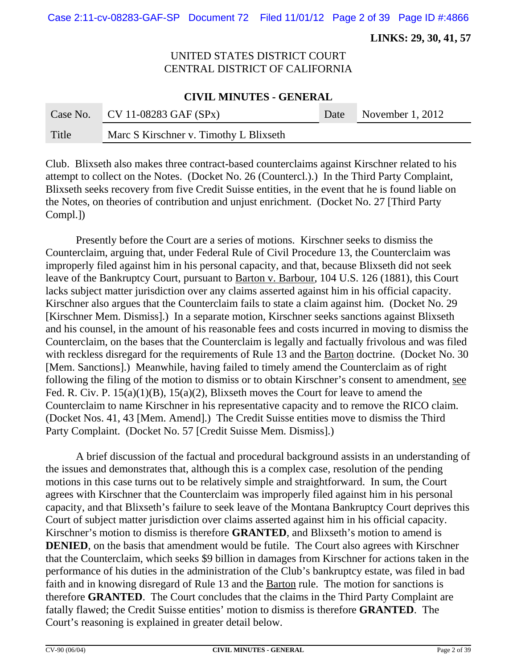Case 2:11-cv-08283-GAF-SP Document 72 Filed 11/01/12 Page 2 of 39 Page ID #:4866

 **LINKS: 29, 30, 41, 57**

# UNITED STATES DISTRICT COURT CENTRAL DISTRICT OF CALIFORNIA

#### **CIVIL MINUTES - GENERAL**

|       | Case No. CV 11-08283 GAF $(SPx)$       | Date November 1, 2012 |
|-------|----------------------------------------|-----------------------|
| Title | Marc S Kirschner v. Timothy L Blixseth |                       |

Club. Blixseth also makes three contract-based counterclaims against Kirschner related to his attempt to collect on the Notes. (Docket No. 26 (Countercl.).) In the Third Party Complaint, Blixseth seeks recovery from five Credit Suisse entities, in the event that he is found liable on the Notes, on theories of contribution and unjust enrichment. (Docket No. 27 [Third Party Compl.])

Presently before the Court are a series of motions. Kirschner seeks to dismiss the Counterclaim, arguing that, under Federal Rule of Civil Procedure 13, the Counterclaim was improperly filed against him in his personal capacity, and that, because Blixseth did not seek leave of the Bankruptcy Court, pursuant to Barton v. Barbour, 104 U.S. 126 (1881), this Court lacks subject matter jurisdiction over any claims asserted against him in his official capacity. Kirschner also argues that the Counterclaim fails to state a claim against him. (Docket No. 29 [Kirschner Mem. Dismiss].) In a separate motion, Kirschner seeks sanctions against Blixseth and his counsel, in the amount of his reasonable fees and costs incurred in moving to dismiss the Counterclaim, on the bases that the Counterclaim is legally and factually frivolous and was filed with reckless disregard for the requirements of Rule 13 and the Barton doctrine. (Docket No. 30) [Mem. Sanctions].) Meanwhile, having failed to timely amend the Counterclaim as of right following the filing of the motion to dismiss or to obtain Kirschner's consent to amendment, see Fed. R. Civ. P. 15(a)(1)(B), 15(a)(2), Blixseth moves the Court for leave to amend the Counterclaim to name Kirschner in his representative capacity and to remove the RICO claim. (Docket Nos. 41, 43 [Mem. Amend].) The Credit Suisse entities move to dismiss the Third Party Complaint. (Docket No. 57 [Credit Suisse Mem. Dismiss].)

A brief discussion of the factual and procedural background assists in an understanding of the issues and demonstrates that, although this is a complex case, resolution of the pending motions in this case turns out to be relatively simple and straightforward. In sum, the Court agrees with Kirschner that the Counterclaim was improperly filed against him in his personal capacity, and that Blixseth's failure to seek leave of the Montana Bankruptcy Court deprives this Court of subject matter jurisdiction over claims asserted against him in his official capacity. Kirschner's motion to dismiss is therefore **GRANTED**, and Blixseth's motion to amend is **DENIED**, on the basis that amendment would be futile. The Court also agrees with Kirschner that the Counterclaim, which seeks \$9 billion in damages from Kirschner for actions taken in the performance of his duties in the administration of the Club's bankruptcy estate, was filed in bad faith and in knowing disregard of Rule 13 and the Barton rule. The motion for sanctions is therefore **GRANTED**. The Court concludes that the claims in the Third Party Complaint are fatally flawed; the Credit Suisse entities' motion to dismiss is therefore **GRANTED**. The Court's reasoning is explained in greater detail below.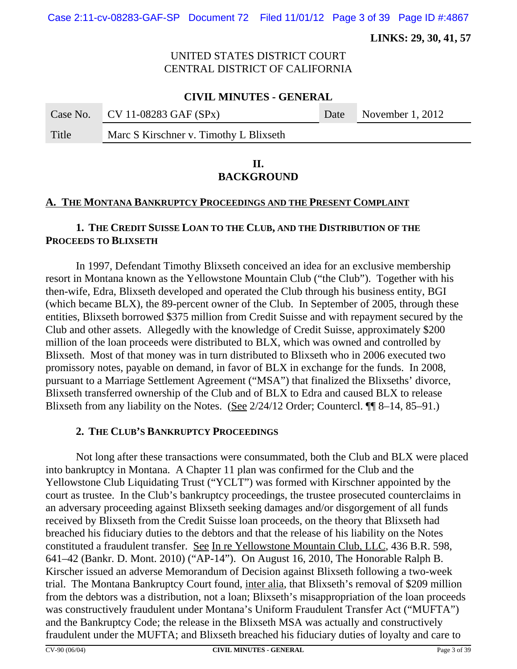Case 2:11-cv-08283-GAF-SP Document 72 Filed 11/01/12 Page 3 of 39 Page ID #:4867

 **LINKS: 29, 30, 41, 57**

# UNITED STATES DISTRICT COURT CENTRAL DISTRICT OF CALIFORNIA

### **CIVIL MINUTES - GENERAL**

|       | Case No. CV 11-08283 GAF $(SPx)$       | Date November 1, 2012 |
|-------|----------------------------------------|-----------------------|
| Title | Marc S Kirschner v. Timothy L Blixseth |                       |

#### **II. BACKGROUND**

#### **A. THE MONTANA BANKRUPTCY PROCEEDINGS AND THE PRESENT COMPLAINT**

# **1. THE CREDIT SUISSE LOAN TO THE CLUB, AND THE DISTRIBUTION OF THE PROCEEDS TO BLIXSETH**

In 1997, Defendant Timothy Blixseth conceived an idea for an exclusive membership resort in Montana known as the Yellowstone Mountain Club ("the Club"). Together with his then-wife, Edra, Blixseth developed and operated the Club through his business entity, BGI (which became BLX), the 89-percent owner of the Club. In September of 2005, through these entities, Blixseth borrowed \$375 million from Credit Suisse and with repayment secured by the Club and other assets. Allegedly with the knowledge of Credit Suisse, approximately \$200 million of the loan proceeds were distributed to BLX, which was owned and controlled by Blixseth. Most of that money was in turn distributed to Blixseth who in 2006 executed two promissory notes, payable on demand, in favor of BLX in exchange for the funds. In 2008, pursuant to a Marriage Settlement Agreement ("MSA") that finalized the Blixseths' divorce, Blixseth transferred ownership of the Club and of BLX to Edra and caused BLX to release Blixseth from any liability on the Notes. (See 2/24/12 Order; Countercl. ¶¶ 8–14, 85–91.)

#### **2. THE CLUB'S BANKRUPTCY PROCEEDINGS**

Not long after these transactions were consummated, both the Club and BLX were placed into bankruptcy in Montana. A Chapter 11 plan was confirmed for the Club and the Yellowstone Club Liquidating Trust ("YCLT") was formed with Kirschner appointed by the court as trustee. In the Club's bankruptcy proceedings, the trustee prosecuted counterclaims in an adversary proceeding against Blixseth seeking damages and/or disgorgement of all funds received by Blixseth from the Credit Suisse loan proceeds, on the theory that Blixseth had breached his fiduciary duties to the debtors and that the release of his liability on the Notes constituted a fraudulent transfer. See In re Yellowstone Mountain Club, LLC, 436 B.R. 598, 641–42 (Bankr. D. Mont. 2010) ("AP-14"). On August 16, 2010, The Honorable Ralph B. Kirscher issued an adverse Memorandum of Decision against Blixseth following a two-week trial. The Montana Bankruptcy Court found, inter alia, that Blixseth's removal of \$209 million from the debtors was a distribution, not a loan; Blixseth's misappropriation of the loan proceeds was constructively fraudulent under Montana's Uniform Fraudulent Transfer Act ("MUFTA") and the Bankruptcy Code; the release in the Blixseth MSA was actually and constructively fraudulent under the MUFTA; and Blixseth breached his fiduciary duties of loyalty and care to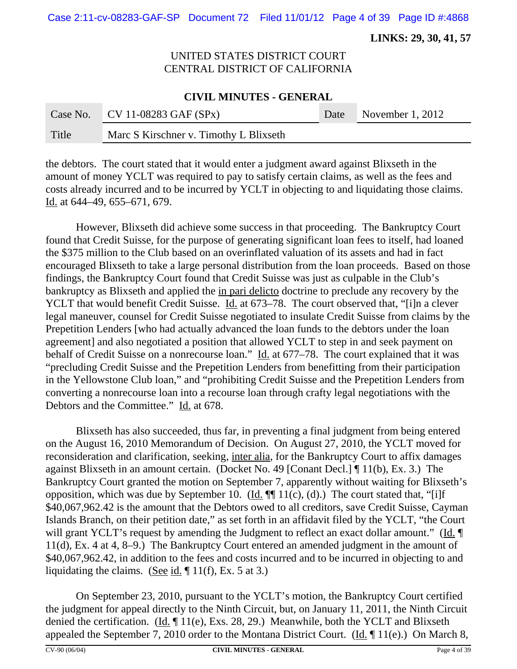Case 2:11-cv-08283-GAF-SP Document 72 Filed 11/01/12 Page 4 of 39 Page ID #:4868

 **LINKS: 29, 30, 41, 57**

# UNITED STATES DISTRICT COURT CENTRAL DISTRICT OF CALIFORNIA

#### **CIVIL MINUTES - GENERAL**

|       | Case No. $CV 11-08283 GAF (SPX)$       | Date November 1, 2012 |
|-------|----------------------------------------|-----------------------|
| Title | Marc S Kirschner v. Timothy L Blixseth |                       |

the debtors. The court stated that it would enter a judgment award against Blixseth in the amount of money YCLT was required to pay to satisfy certain claims, as well as the fees and costs already incurred and to be incurred by YCLT in objecting to and liquidating those claims. Id. at 644–49, 655–671, 679.

However, Blixseth did achieve some success in that proceeding. The Bankruptcy Court found that Credit Suisse, for the purpose of generating significant loan fees to itself, had loaned the \$375 million to the Club based on an overinflated valuation of its assets and had in fact encouraged Blixseth to take a large personal distribution from the loan proceeds. Based on those findings, the Bankruptcy Court found that Credit Suisse was just as culpable in the Club's bankruptcy as Blixseth and applied the in pari delicto doctrine to preclude any recovery by the YCLT that would benefit Credit Suisse. Id. at 673–78. The court observed that, "[i]n a clever legal maneuver, counsel for Credit Suisse negotiated to insulate Credit Suisse from claims by the Prepetition Lenders [who had actually advanced the loan funds to the debtors under the loan agreement] and also negotiated a position that allowed YCLT to step in and seek payment on behalf of Credit Suisse on a nonrecourse loan." Id. at 677–78. The court explained that it was "precluding Credit Suisse and the Prepetition Lenders from benefitting from their participation in the Yellowstone Club loan," and "prohibiting Credit Suisse and the Prepetition Lenders from converting a nonrecourse loan into a recourse loan through crafty legal negotiations with the Debtors and the Committee." Id. at 678.

Blixseth has also succeeded, thus far, in preventing a final judgment from being entered on the August 16, 2010 Memorandum of Decision. On August 27, 2010, the YCLT moved for reconsideration and clarification, seeking, inter alia, for the Bankruptcy Court to affix damages against Blixseth in an amount certain. (Docket No. 49 [Conant Decl.] ¶ 11(b), Ex. 3.) The Bankruptcy Court granted the motion on September 7, apparently without waiting for Blixseth's opposition, which was due by September 10.  $(\underline{Id} \cdot \P \P \cap 11(c), (d))$  The court stated that, "[i]f \$40,067,962.42 is the amount that the Debtors owed to all creditors, save Credit Suisse, Cayman Islands Branch, on their petition date," as set forth in an affidavit filed by the YCLT, "the Court will grant YCLT's request by amending the Judgment to reflect an exact dollar amount." (Id. ¶ 11(d), Ex. 4 at 4, 8–9.) The Bankruptcy Court entered an amended judgment in the amount of \$40,067,962.42, in addition to the fees and costs incurred and to be incurred in objecting to and liquidating the claims. (See id.  $\P$  11(f), Ex. 5 at 3.)

On September 23, 2010, pursuant to the YCLT's motion, the Bankruptcy Court certified the judgment for appeal directly to the Ninth Circuit, but, on January 11, 2011, the Ninth Circuit denied the certification. (Id.  $\P$  11(e), Exs. 28, 29.) Meanwhile, both the YCLT and Blixseth appealed the September 7, 2010 order to the Montana District Court. (Id.  $\P$  11(e).) On March 8,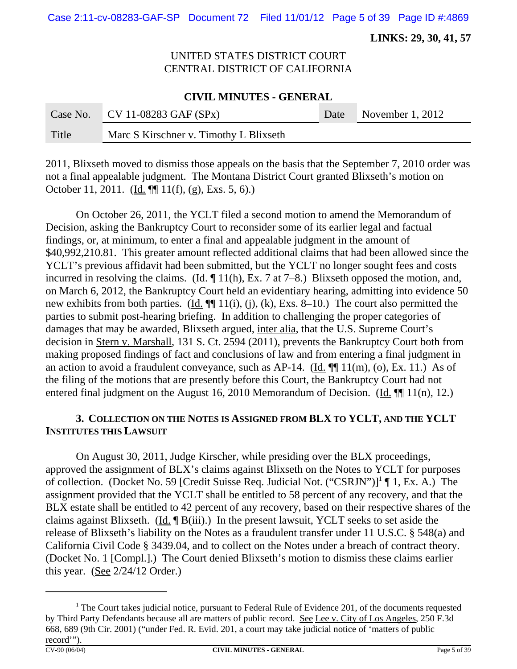Case 2:11-cv-08283-GAF-SP Document 72 Filed 11/01/12 Page 5 of 39 Page ID #:4869

 **LINKS: 29, 30, 41, 57**

# UNITED STATES DISTRICT COURT CENTRAL DISTRICT OF CALIFORNIA

#### **CIVIL MINUTES - GENERAL**

|       | Case No. CV 11-08283 GAF $(SPx)$       | Date November 1, 2012 |
|-------|----------------------------------------|-----------------------|
| Title | Marc S Kirschner v. Timothy L Blixseth |                       |

2011, Blixseth moved to dismiss those appeals on the basis that the September 7, 2010 order was not a final appealable judgment. The Montana District Court granted Blixseth's motion on October 11, 2011. (Id. ¶¶ 11(f), (g), Exs. 5, 6).)

On October 26, 2011, the YCLT filed a second motion to amend the Memorandum of Decision, asking the Bankruptcy Court to reconsider some of its earlier legal and factual findings, or, at minimum, to enter a final and appealable judgment in the amount of \$40,992,210.81. This greater amount reflected additional claims that had been allowed since the YCLT's previous affidavit had been submitted, but the YCLT no longer sought fees and costs incurred in resolving the claims. (Id.  $\P$  11(h), Ex. 7 at 7–8.) Blixseth opposed the motion, and, on March 6, 2012, the Bankruptcy Court held an evidentiary hearing, admitting into evidence 50 new exhibits from both parties.  $(\underline{Id}, \P\P$  11(i), (j), (k), Exs. 8–10.) The court also permitted the parties to submit post-hearing briefing. In addition to challenging the proper categories of damages that may be awarded, Blixseth argued, inter alia, that the U.S. Supreme Court's decision in Stern v. Marshall, 131 S. Ct. 2594 (2011), prevents the Bankruptcy Court both from making proposed findings of fact and conclusions of law and from entering a final judgment in an action to avoid a fraudulent conveyance, such as AP-14. (Id.  $\P$  $\P$  11(m), (o), Ex. 11.) As of the filing of the motions that are presently before this Court, the Bankruptcy Court had not entered final judgment on the August 16, 2010 Memorandum of Decision. (Id. ¶ 11(n), 12.)

### **3. COLLECTION ON THE NOTES IS ASSIGNED FROM BLX TO YCLT, AND THE YCLT INSTITUTES THIS LAWSUIT**

On August 30, 2011, Judge Kirscher, while presiding over the BLX proceedings, approved the assignment of BLX's claims against Blixseth on the Notes to YCLT for purposes of collection. (Docket No. 59 [Credit Suisse Req. Judicial Not. ("CSRJN")]<sup>1</sup> [1, Ex. A.) The assignment provided that the YCLT shall be entitled to 58 percent of any recovery, and that the BLX estate shall be entitled to 42 percent of any recovery, based on their respective shares of the claims against Blixseth. (Id. ¶ B(iii).) In the present lawsuit, YCLT seeks to set aside the release of Blixseth's liability on the Notes as a fraudulent transfer under 11 U.S.C. § 548(a) and California Civil Code § 3439.04, and to collect on the Notes under a breach of contract theory. (Docket No. 1 [Compl.].) The Court denied Blixseth's motion to dismiss these claims earlier this year. (See  $2/24/12$  Order.)

<sup>&</sup>lt;sup>1</sup> The Court takes judicial notice, pursuant to Federal Rule of Evidence 201, of the documents requested by Third Party Defendants because all are matters of public record. See Lee v. City of Los Angeles, 250 F.3d 668, 689 (9th Cir. 2001) ("under Fed. R. Evid. 201, a court may take judicial notice of 'matters of public record'").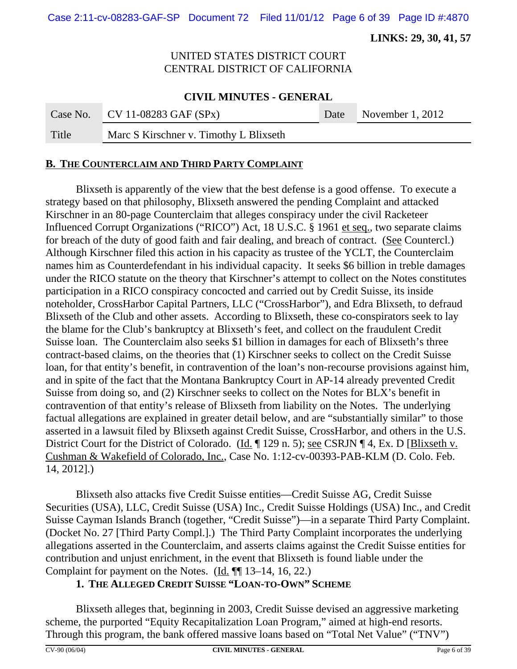Case 2:11-cv-08283-GAF-SP Document 72 Filed 11/01/12 Page 6 of 39 Page ID #:4870

 **LINKS: 29, 30, 41, 57**

# UNITED STATES DISTRICT COURT CENTRAL DISTRICT OF CALIFORNIA

#### **CIVIL MINUTES - GENERAL**

|       | Case No. CV 11-08283 GAF $(SPx)$       | Date November 1, 2012 |
|-------|----------------------------------------|-----------------------|
| Title | Marc S Kirschner v. Timothy L Blixseth |                       |

#### **B. THE COUNTERCLAIM AND THIRD PARTY COMPLAINT**

Blixseth is apparently of the view that the best defense is a good offense. To execute a strategy based on that philosophy, Blixseth answered the pending Complaint and attacked Kirschner in an 80-page Counterclaim that alleges conspiracy under the civil Racketeer Influenced Corrupt Organizations ("RICO") Act, 18 U.S.C. § 1961 et seq., two separate claims for breach of the duty of good faith and fair dealing, and breach of contract. (See Countercl.) Although Kirschner filed this action in his capacity as trustee of the YCLT, the Counterclaim names him as Counterdefendant in his individual capacity. It seeks \$6 billion in treble damages under the RICO statute on the theory that Kirschner's attempt to collect on the Notes constitutes participation in a RICO conspiracy concocted and carried out by Credit Suisse, its inside noteholder, CrossHarbor Capital Partners, LLC ("CrossHarbor"), and Edra Blixseth, to defraud Blixseth of the Club and other assets. According to Blixseth, these co-conspirators seek to lay the blame for the Club's bankruptcy at Blixseth's feet, and collect on the fraudulent Credit Suisse loan. The Counterclaim also seeks \$1 billion in damages for each of Blixseth's three contract-based claims, on the theories that (1) Kirschner seeks to collect on the Credit Suisse loan, for that entity's benefit, in contravention of the loan's non-recourse provisions against him, and in spite of the fact that the Montana Bankruptcy Court in AP-14 already prevented Credit Suisse from doing so, and (2) Kirschner seeks to collect on the Notes for BLX's benefit in contravention of that entity's release of Blixseth from liability on the Notes. The underlying factual allegations are explained in greater detail below, and are "substantially similar" to those asserted in a lawsuit filed by Blixseth against Credit Suisse, CrossHarbor, and others in the U.S. District Court for the District of Colorado. (Id. 129 n. 5); <u>see</u> CSRJN 14, Ex. D [Blixseth v. Cushman & Wakefield of Colorado, Inc., Case No. 1:12-cv-00393-PAB-KLM (D. Colo. Feb. 14, 2012].)

Blixseth also attacks five Credit Suisse entities—Credit Suisse AG, Credit Suisse Securities (USA), LLC, Credit Suisse (USA) Inc., Credit Suisse Holdings (USA) Inc., and Credit Suisse Cayman Islands Branch (together, "Credit Suisse")—in a separate Third Party Complaint. (Docket No. 27 [Third Party Compl.].) The Third Party Complaint incorporates the underlying allegations asserted in the Counterclaim, and asserts claims against the Credit Suisse entities for contribution and unjust enrichment, in the event that Blixseth is found liable under the Complaint for payment on the Notes. (Id. ¶ 13–14, 16, 22.)

#### **1. THE ALLEGED CREDIT SUISSE "LOAN-TO-OWN" SCHEME**

Blixseth alleges that, beginning in 2003, Credit Suisse devised an aggressive marketing scheme, the purported "Equity Recapitalization Loan Program," aimed at high-end resorts. Through this program, the bank offered massive loans based on "Total Net Value" ("TNV")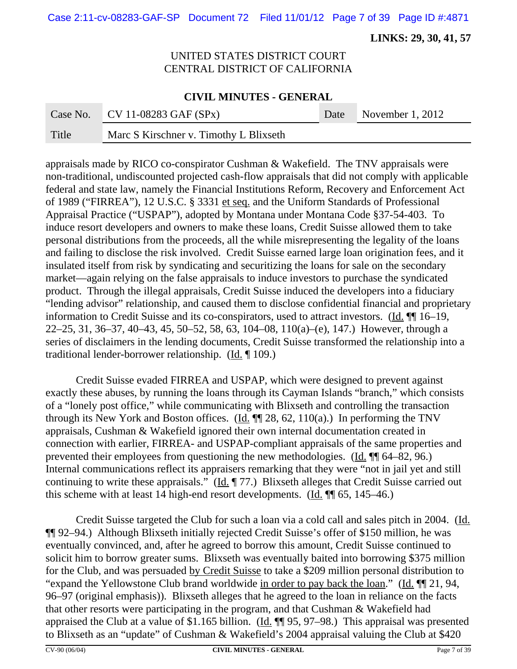Case 2:11-cv-08283-GAF-SP Document 72 Filed 11/01/12 Page 7 of 39 Page ID #:4871

 **LINKS: 29, 30, 41, 57**

# UNITED STATES DISTRICT COURT CENTRAL DISTRICT OF CALIFORNIA

#### **CIVIL MINUTES - GENERAL**

|       | Case No. CV 11-08283 GAF $(SPx)$       | Date November 1, 2012 |
|-------|----------------------------------------|-----------------------|
| Title | Marc S Kirschner v. Timothy L Blixseth |                       |

appraisals made by RICO co-conspirator Cushman & Wakefield. The TNV appraisals were non-traditional, undiscounted projected cash-flow appraisals that did not comply with applicable federal and state law, namely the Financial Institutions Reform, Recovery and Enforcement Act of 1989 ("FIRREA"), 12 U.S.C. § 3331 et seq. and the Uniform Standards of Professional Appraisal Practice ("USPAP"), adopted by Montana under Montana Code §37-54-403. To induce resort developers and owners to make these loans, Credit Suisse allowed them to take personal distributions from the proceeds, all the while misrepresenting the legality of the loans and failing to disclose the risk involved. Credit Suisse earned large loan origination fees, and it insulated itself from risk by syndicating and securitizing the loans for sale on the secondary market—again relying on the false appraisals to induce investors to purchase the syndicated product. Through the illegal appraisals, Credit Suisse induced the developers into a fiduciary "lending advisor" relationship, and caused them to disclose confidential financial and proprietary information to Credit Suisse and its co-conspirators, used to attract investors. (Id. ¶¶ 16–19, 22–25, 31, 36–37, 40–43, 45, 50–52, 58, 63, 104–08, 110(a)–(e), 147.) However, through a series of disclaimers in the lending documents, Credit Suisse transformed the relationship into a traditional lender-borrower relationship. (Id. ¶ 109.)

Credit Suisse evaded FIRREA and USPAP, which were designed to prevent against exactly these abuses, by running the loans through its Cayman Islands "branch," which consists of a "lonely post office," while communicating with Blixseth and controlling the transaction through its New York and Boston offices. (Id.  $\P$  $[28, 62, 110(a)$ .) In performing the TNV appraisals, Cushman & Wakefield ignored their own internal documentation created in connection with earlier, FIRREA- and USPAP-compliant appraisals of the same properties and prevented their employees from questioning the new methodologies. (Id. ¶¶ 64–82, 96.) Internal communications reflect its appraisers remarking that they were "not in jail yet and still continuing to write these appraisals." (Id. ¶ 77.) Blixseth alleges that Credit Suisse carried out this scheme with at least 14 high-end resort developments.  $(Id. \P \| 65, 145-46.)$ 

Credit Suisse targeted the Club for such a loan via a cold call and sales pitch in 2004. (Id. ¶¶ 92–94.) Although Blixseth initially rejected Credit Suisse's offer of \$150 million, he was eventually convinced, and, after he agreed to borrow this amount, Credit Suisse continued to solicit him to borrow greater sums. Blixseth was eventually baited into borrowing \$375 million for the Club, and was persuaded by Credit Suisse to take a \$209 million personal distribution to "expand the Yellowstone Club brand worldwide in order to pay back the loan." (Id.  $\P$  21, 94, 96–97 (original emphasis)). Blixseth alleges that he agreed to the loan in reliance on the facts that other resorts were participating in the program, and that Cushman & Wakefield had appraised the Club at a value of \$1.165 billion. (Id. ¶¶ 95, 97–98.) This appraisal was presented to Blixseth as an "update" of Cushman & Wakefield's 2004 appraisal valuing the Club at \$420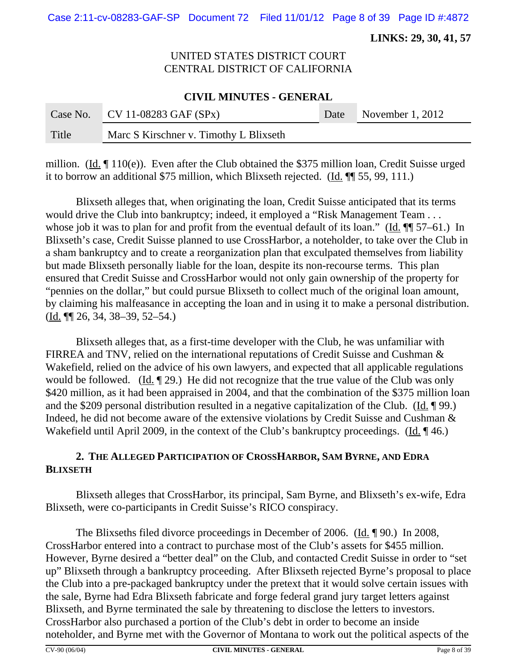Case 2:11-cv-08283-GAF-SP Document 72 Filed 11/01/12 Page 8 of 39 Page ID #:4872

 **LINKS: 29, 30, 41, 57**

# UNITED STATES DISTRICT COURT CENTRAL DISTRICT OF CALIFORNIA

#### **CIVIL MINUTES - GENERAL**

| Case No. | $\sqrt{C}$ V 11-08283 GAF (SPx)        | Date | November 1, 2012 |
|----------|----------------------------------------|------|------------------|
| Title    | Marc S Kirschner v. Timothy L Blixseth |      |                  |

million. (Id. ¶ 110(e)). Even after the Club obtained the \$375 million loan, Credit Suisse urged it to borrow an additional \$75 million, which Blixseth rejected.  $(\underline{Id}$ .  $\P$  55, 99, 111.)

Blixseth alleges that, when originating the loan, Credit Suisse anticipated that its terms would drive the Club into bankruptcy; indeed, it employed a "Risk Management Team . . . whose job it was to plan for and profit from the eventual default of its loan." (Id.  $\P$  57–61.) In Blixseth's case, Credit Suisse planned to use CrossHarbor, a noteholder, to take over the Club in a sham bankruptcy and to create a reorganization plan that exculpated themselves from liability but made Blixseth personally liable for the loan, despite its non-recourse terms. This plan ensured that Credit Suisse and CrossHarbor would not only gain ownership of the property for "pennies on the dollar," but could pursue Blixseth to collect much of the original loan amount, by claiming his malfeasance in accepting the loan and in using it to make a personal distribution. (Id. ¶¶ 26, 34, 38–39, 52–54.)

Blixseth alleges that, as a first-time developer with the Club, he was unfamiliar with FIRREA and TNV, relied on the international reputations of Credit Suisse and Cushman & Wakefield, relied on the advice of his own lawyers, and expected that all applicable regulations would be followed. (Id. ¶ 29.) He did not recognize that the true value of the Club was only \$420 million, as it had been appraised in 2004, and that the combination of the \$375 million loan and the \$209 personal distribution resulted in a negative capitalization of the Club. (Id. ¶ 99.) Indeed, he did not become aware of the extensive violations by Credit Suisse and Cushman & Wakefield until April 2009, in the context of the Club's bankruptcy proceedings. (Id. 146.)

# **2. THE ALLEGED PARTICIPATION OF CROSSHARBOR, SAM BYRNE, AND EDRA BLIXSETH**

Blixseth alleges that CrossHarbor, its principal, Sam Byrne, and Blixseth's ex-wife, Edra Blixseth, were co-participants in Credit Suisse's RICO conspiracy.

The Blixseths filed divorce proceedings in December of 2006. (Id. 190.) In 2008, CrossHarbor entered into a contract to purchase most of the Club's assets for \$455 million. However, Byrne desired a "better deal" on the Club, and contacted Credit Suisse in order to "set up" Blixseth through a bankruptcy proceeding. After Blixseth rejected Byrne's proposal to place the Club into a pre-packaged bankruptcy under the pretext that it would solve certain issues with the sale, Byrne had Edra Blixseth fabricate and forge federal grand jury target letters against Blixseth, and Byrne terminated the sale by threatening to disclose the letters to investors. CrossHarbor also purchased a portion of the Club's debt in order to become an inside noteholder, and Byrne met with the Governor of Montana to work out the political aspects of the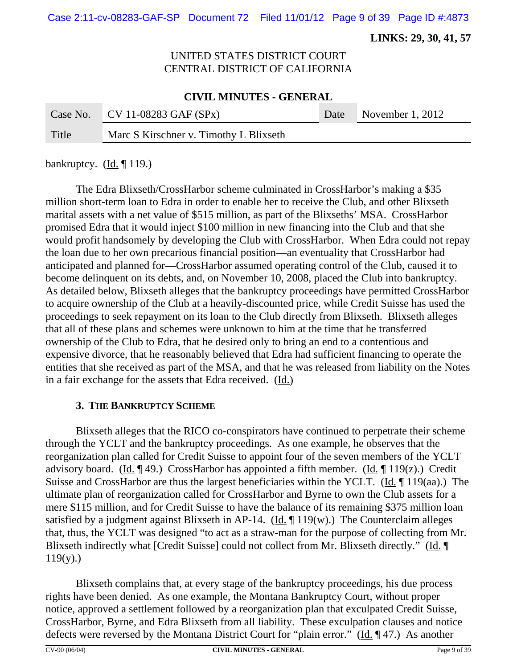Case 2:11-cv-08283-GAF-SP Document 72 Filed 11/01/12 Page 9 of 39 Page ID #:4873

 **LINKS: 29, 30, 41, 57**

# UNITED STATES DISTRICT COURT CENTRAL DISTRICT OF CALIFORNIA

#### **CIVIL MINUTES - GENERAL**

|       | Case No. CV 11-08283 GAF $(SPx)$       | Date November 1, 2012 |
|-------|----------------------------------------|-----------------------|
| Title | Marc S Kirschner v. Timothy L Blixseth |                       |

bankruptcy.  $(\underline{Id}, \P 119.)$ 

The Edra Blixseth/CrossHarbor scheme culminated in CrossHarbor's making a \$35 million short-term loan to Edra in order to enable her to receive the Club, and other Blixseth marital assets with a net value of \$515 million, as part of the Blixseths' MSA. CrossHarbor promised Edra that it would inject \$100 million in new financing into the Club and that she would profit handsomely by developing the Club with CrossHarbor. When Edra could not repay the loan due to her own precarious financial position—an eventuality that CrossHarbor had anticipated and planned for—CrossHarbor assumed operating control of the Club, caused it to become delinquent on its debts, and, on November 10, 2008, placed the Club into bankruptcy. As detailed below, Blixseth alleges that the bankruptcy proceedings have permitted CrossHarbor to acquire ownership of the Club at a heavily-discounted price, while Credit Suisse has used the proceedings to seek repayment on its loan to the Club directly from Blixseth. Blixseth alleges that all of these plans and schemes were unknown to him at the time that he transferred ownership of the Club to Edra, that he desired only to bring an end to a contentious and expensive divorce, that he reasonably believed that Edra had sufficient financing to operate the entities that she received as part of the MSA, and that he was released from liability on the Notes in a fair exchange for the assets that Edra received. (Id.)

#### **3. THE BANKRUPTCY SCHEME**

Blixseth alleges that the RICO co-conspirators have continued to perpetrate their scheme through the YCLT and the bankruptcy proceedings. As one example, he observes that the reorganization plan called for Credit Suisse to appoint four of the seven members of the YCLT advisory board. (Id.  $\llbracket 49.$ ) CrossHarbor has appointed a fifth member. (Id.  $\llbracket 119(z)$ .) Credit Suisse and CrossHarbor are thus the largest beneficiaries within the YCLT. (Id. ¶ 119(aa).) The ultimate plan of reorganization called for CrossHarbor and Byrne to own the Club assets for a mere \$115 million, and for Credit Suisse to have the balance of its remaining \$375 million loan satisfied by a judgment against Blixseth in AP-14. (Id.  $\P$  119(w).) The Counterclaim alleges that, thus, the YCLT was designed "to act as a straw-man for the purpose of collecting from Mr. Blixseth indirectly what [Credit Suisse] could not collect from Mr. Blixseth directly." (Id. ¶  $119(y)$ .)

Blixseth complains that, at every stage of the bankruptcy proceedings, his due process rights have been denied. As one example, the Montana Bankruptcy Court, without proper notice, approved a settlement followed by a reorganization plan that exculpated Credit Suisse, CrossHarbor, Byrne, and Edra Blixseth from all liability. These exculpation clauses and notice defects were reversed by the Montana District Court for "plain error." (Id. ¶ 47.) As another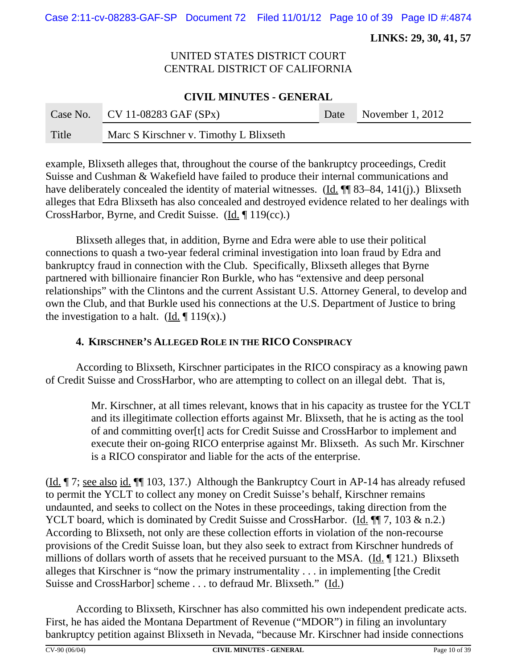Case 2:11-cv-08283-GAF-SP Document 72 Filed 11/01/12 Page 10 of 39 Page ID #:4874

 **LINKS: 29, 30, 41, 57**

# UNITED STATES DISTRICT COURT CENTRAL DISTRICT OF CALIFORNIA

### **CIVIL MINUTES - GENERAL**

|       | Case No. CV 11-08283 GAF $(SPx)$       | Date November 1, 2012 |
|-------|----------------------------------------|-----------------------|
| Title | Marc S Kirschner v. Timothy L Blixseth |                       |

example, Blixseth alleges that, throughout the course of the bankruptcy proceedings, Credit Suisse and Cushman & Wakefield have failed to produce their internal communications and have deliberately concealed the identity of material witnesses. (Id. ¶ 83–84, 141(j).) Blixseth alleges that Edra Blixseth has also concealed and destroyed evidence related to her dealings with CrossHarbor, Byrne, and Credit Suisse. (Id. ¶ 119(cc).)

Blixseth alleges that, in addition, Byrne and Edra were able to use their political connections to quash a two-year federal criminal investigation into loan fraud by Edra and bankruptcy fraud in connection with the Club. Specifically, Blixseth alleges that Byrne partnered with billionaire financier Ron Burkle, who has "extensive and deep personal relationships" with the Clintons and the current Assistant U.S. Attorney General, to develop and own the Club, and that Burkle used his connections at the U.S. Department of Justice to bring the investigation to a halt. (Id.  $\P$  119(x).)

#### **4. KIRSCHNER'S ALLEGED ROLE IN THE RICO CONSPIRACY**

According to Blixseth, Kirschner participates in the RICO conspiracy as a knowing pawn of Credit Suisse and CrossHarbor, who are attempting to collect on an illegal debt. That is,

> Mr. Kirschner, at all times relevant, knows that in his capacity as trustee for the YCLT and its illegitimate collection efforts against Mr. Blixseth, that he is acting as the tool of and committing over[t] acts for Credit Suisse and CrossHarbor to implement and execute their on-going RICO enterprise against Mr. Blixseth. As such Mr. Kirschner is a RICO conspirator and liable for the acts of the enterprise.

(Id. ¶ 7; see also id. ¶¶ 103, 137.) Although the Bankruptcy Court in AP-14 has already refused to permit the YCLT to collect any money on Credit Suisse's behalf, Kirschner remains undaunted, and seeks to collect on the Notes in these proceedings, taking direction from the YCLT board, which is dominated by Credit Suisse and CrossHarbor. (Id. ¶¶ 7, 103 & n.2.) According to Blixseth, not only are these collection efforts in violation of the non-recourse provisions of the Credit Suisse loan, but they also seek to extract from Kirschner hundreds of millions of dollars worth of assets that he received pursuant to the MSA. (Id. ¶ 121.) Blixseth alleges that Kirschner is "now the primary instrumentality . . . in implementing [the Credit Suisse and CrossHarbor] scheme . . . to defraud Mr. Blixseth." (Id.)

According to Blixseth, Kirschner has also committed his own independent predicate acts. First, he has aided the Montana Department of Revenue ("MDOR") in filing an involuntary bankruptcy petition against Blixseth in Nevada, "because Mr. Kirschner had inside connections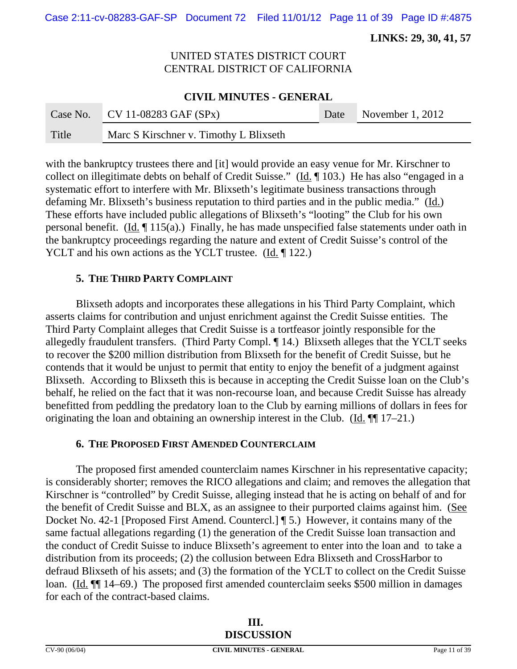Case 2:11-cv-08283-GAF-SP Document 72 Filed 11/01/12 Page 11 of 39 Page ID #:4875

 **LINKS: 29, 30, 41, 57**

# UNITED STATES DISTRICT COURT CENTRAL DISTRICT OF CALIFORNIA

#### **CIVIL MINUTES - GENERAL**

|       | Case No. CV 11-08283 GAF $(SPx)$       | Date November 1, 2012 |
|-------|----------------------------------------|-----------------------|
| Title | Marc S Kirschner v. Timothy L Blixseth |                       |

with the bankruptcy trustees there and [it] would provide an easy venue for Mr. Kirschner to collect on illegitimate debts on behalf of Credit Suisse." (Id. 103.) He has also "engaged in a systematic effort to interfere with Mr. Blixseth's legitimate business transactions through defaming Mr. Blixseth's business reputation to third parties and in the public media." (Id.) These efforts have included public allegations of Blixseth's "looting" the Club for his own personal benefit. (Id.  $\P$  115(a).) Finally, he has made unspecified false statements under oath in the bankruptcy proceedings regarding the nature and extent of Credit Suisse's control of the YCLT and his own actions as the YCLT trustee. (Id. 122.)

#### **5. THE THIRD PARTY COMPLAINT**

Blixseth adopts and incorporates these allegations in his Third Party Complaint, which asserts claims for contribution and unjust enrichment against the Credit Suisse entities. The Third Party Complaint alleges that Credit Suisse is a tortfeasor jointly responsible for the allegedly fraudulent transfers. (Third Party Compl. ¶ 14.) Blixseth alleges that the YCLT seeks to recover the \$200 million distribution from Blixseth for the benefit of Credit Suisse, but he contends that it would be unjust to permit that entity to enjoy the benefit of a judgment against Blixseth. According to Blixseth this is because in accepting the Credit Suisse loan on the Club's behalf, he relied on the fact that it was non-recourse loan, and because Credit Suisse has already benefitted from peddling the predatory loan to the Club by earning millions of dollars in fees for originating the loan and obtaining an ownership interest in the Club. (Id. ¶¶ 17–21.)

#### **6. THE PROPOSED FIRST AMENDED COUNTERCLAIM**

The proposed first amended counterclaim names Kirschner in his representative capacity; is considerably shorter; removes the RICO allegations and claim; and removes the allegation that Kirschner is "controlled" by Credit Suisse, alleging instead that he is acting on behalf of and for the benefit of Credit Suisse and BLX, as an assignee to their purported claims against him. (See Docket No. 42-1 [Proposed First Amend. Countercl.] ¶ 5.) However, it contains many of the same factual allegations regarding (1) the generation of the Credit Suisse loan transaction and the conduct of Credit Suisse to induce Blixseth's agreement to enter into the loan and to take a distribution from its proceeds; (2) the collusion between Edra Blixseth and CrossHarbor to defraud Blixseth of his assets; and (3) the formation of the YCLT to collect on the Credit Suisse loan. (Id.  $\P$  14–69.) The proposed first amended counterclaim seeks \$500 million in damages for each of the contract-based claims.

|               | Ш.<br><b>DISCUSSION</b>        |               |
|---------------|--------------------------------|---------------|
| CV-90 (06/04) | <b>CIVIL MINUTES - GENERAL</b> | Page 11 of 39 |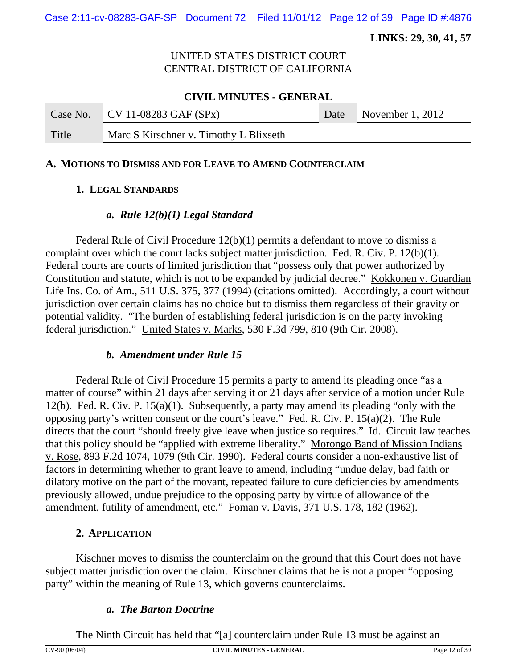Case 2:11-cv-08283-GAF-SP Document 72 Filed 11/01/12 Page 12 of 39 Page ID #:4876

 **LINKS: 29, 30, 41, 57**

### UNITED STATES DISTRICT COURT CENTRAL DISTRICT OF CALIFORNIA

### **CIVIL MINUTES - GENERAL**

Case No. CV 11-08283 GAF (SPx) Date November 1, 2012

Title Marc S Kirschner v. Timothy L Blixseth

### **A. MOTIONS TO DISMISS AND FOR LEAVE TO AMEND COUNTERCLAIM**

# **1. LEGAL STANDARDS**

# *a. Rule 12(b)(1) Legal Standard*

Federal Rule of Civil Procedure 12(b)(1) permits a defendant to move to dismiss a complaint over which the court lacks subject matter jurisdiction. Fed. R. Civ. P. 12(b)(1). Federal courts are courts of limited jurisdiction that "possess only that power authorized by Constitution and statute, which is not to be expanded by judicial decree." Kokkonen v. Guardian Life Ins. Co. of Am., 511 U.S. 375, 377 (1994) (citations omitted). Accordingly, a court without jurisdiction over certain claims has no choice but to dismiss them regardless of their gravity or potential validity. "The burden of establishing federal jurisdiction is on the party invoking federal jurisdiction." United States v. Marks, 530 F.3d 799, 810 (9th Cir. 2008).

# *b. Amendment under Rule 15*

Federal Rule of Civil Procedure 15 permits a party to amend its pleading once "as a matter of course" within 21 days after serving it or 21 days after service of a motion under Rule 12(b). Fed. R. Civ. P. 15(a)(1). Subsequently, a party may amend its pleading "only with the opposing party's written consent or the court's leave." Fed. R. Civ. P. 15(a)(2). The Rule directs that the court "should freely give leave when justice so requires." Id. Circuit law teaches that this policy should be "applied with extreme liberality." Morongo Band of Mission Indians v. Rose, 893 F.2d 1074, 1079 (9th Cir. 1990). Federal courts consider a non-exhaustive list of factors in determining whether to grant leave to amend, including "undue delay, bad faith or dilatory motive on the part of the movant, repeated failure to cure deficiencies by amendments previously allowed, undue prejudice to the opposing party by virtue of allowance of the amendment, futility of amendment, etc." Foman v. Davis, 371 U.S. 178, 182 (1962).

# **2. APPLICATION**

Kischner moves to dismiss the counterclaim on the ground that this Court does not have subject matter jurisdiction over the claim. Kirschner claims that he is not a proper "opposing party" within the meaning of Rule 13, which governs counterclaims.

# *a. The Barton Doctrine*

The Ninth Circuit has held that "[a] counterclaim under Rule 13 must be against an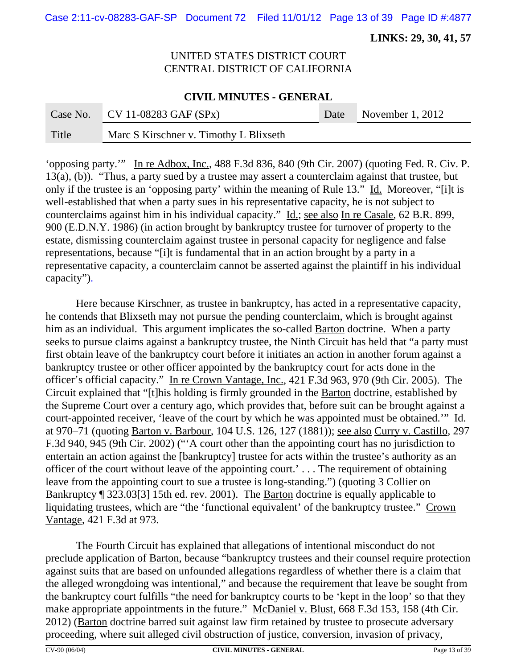Case 2:11-cv-08283-GAF-SP Document 72 Filed 11/01/12 Page 13 of 39 Page ID #:4877

 **LINKS: 29, 30, 41, 57**

# UNITED STATES DISTRICT COURT CENTRAL DISTRICT OF CALIFORNIA

#### **CIVIL MINUTES - GENERAL**

|       | Case No. CV 11-08283 GAF $(SPx)$       | Date November 1, 2012 |
|-------|----------------------------------------|-----------------------|
| Title | Marc S Kirschner v. Timothy L Blixseth |                       |

'opposing party.'" In re Adbox, Inc., 488 F.3d 836, 840 (9th Cir. 2007) (quoting Fed. R. Civ. P. 13(a), (b)). "Thus, a party sued by a trustee may assert a counterclaim against that trustee, but only if the trustee is an 'opposing party' within the meaning of Rule 13." Id. Moreover, "[i]t is well-established that when a party sues in his representative capacity, he is not subject to counterclaims against him in his individual capacity." Id.; see also In re Casale, 62 B.R. 899, 900 (E.D.N.Y. 1986) (in action brought by bankruptcy trustee for turnover of property to the estate, dismissing counterclaim against trustee in personal capacity for negligence and false representations, because "[i]t is fundamental that in an action brought by a party in a representative capacity, a counterclaim cannot be asserted against the plaintiff in his individual capacity").

Here because Kirschner, as trustee in bankruptcy, has acted in a representative capacity, he contends that Blixseth may not pursue the pending counterclaim, which is brought against him as an individual. This argument implicates the so-called **Barton** doctrine. When a party seeks to pursue claims against a bankruptcy trustee, the Ninth Circuit has held that "a party must first obtain leave of the bankruptcy court before it initiates an action in another forum against a bankruptcy trustee or other officer appointed by the bankruptcy court for acts done in the officer's official capacity." In re Crown Vantage, Inc., 421 F.3d 963, 970 (9th Cir. 2005). The Circuit explained that "[t]his holding is firmly grounded in the Barton doctrine, established by the Supreme Court over a century ago, which provides that, before suit can be brought against a court-appointed receiver, 'leave of the court by which he was appointed must be obtained.'" Id. at 970–71 (quoting Barton v. Barbour, 104 U.S. 126, 127 (1881)); see also Curry v. Castillo, 297 F.3d 940, 945 (9th Cir. 2002) ("'A court other than the appointing court has no jurisdiction to entertain an action against the [bankruptcy] trustee for acts within the trustee's authority as an officer of the court without leave of the appointing court.' . . . The requirement of obtaining leave from the appointing court to sue a trustee is long-standing.") (quoting 3 Collier on Bankruptcy ¶ 323.03[3] 15th ed. rev. 2001).The Barton doctrine is equally applicable to liquidating trustees, which are "the 'functional equivalent' of the bankruptcy trustee." Crown Vantage, 421 F.3d at 973.

The Fourth Circuit has explained that allegations of intentional misconduct do not preclude application of Barton, because "bankruptcy trustees and their counsel require protection against suits that are based on unfounded allegations regardless of whether there is a claim that the alleged wrongdoing was intentional," and because the requirement that leave be sought from the bankruptcy court fulfills "the need for bankruptcy courts to be 'kept in the loop' so that they make appropriate appointments in the future." McDaniel v. Blust, 668 F.3d 153, 158 (4th Cir. 2012) (Barton doctrine barred suit against law firm retained by trustee to prosecute adversary proceeding, where suit alleged civil obstruction of justice, conversion, invasion of privacy,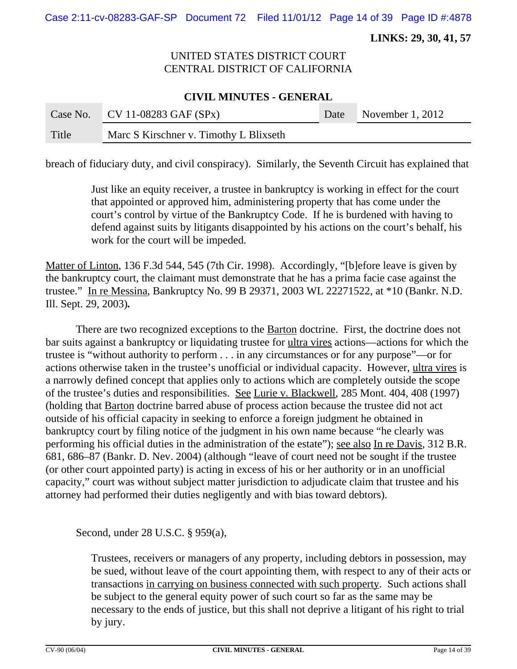Case 2:11-cv-08283-GAF-SP Document 72 Filed 11/01/12 Page 14 of 39 Page ID #:4878

 **LINKS: 29, 30, 41, 57**

# UNITED STATES DISTRICT COURT CENTRAL DISTRICT OF CALIFORNIA

#### **CIVIL MINUTES - GENERAL**

|       | Case No. CV 11-08283 GAF $(SPx)$       | Date November 1, 2012 |
|-------|----------------------------------------|-----------------------|
| Title | Marc S Kirschner v. Timothy L Blixseth |                       |

breach of fiduciary duty, and civil conspiracy). Similarly, the Seventh Circuit has explained that

Just like an equity receiver, a trustee in bankruptcy is working in effect for the court that appointed or approved him, administering property that has come under the court's control by virtue of the Bankruptcy Code. If he is burdened with having to defend against suits by litigants disappointed by his actions on the court's behalf, his work for the court will be impeded.

Matter of Linton, 136 F.3d 544, 545 (7th Cir. 1998). Accordingly, "[b]efore leave is given by the bankruptcy court, the claimant must demonstrate that he has a prima facie case against the trustee." In re Messina, Bankruptcy No. 99 B 29371, 2003 WL 22271522, at \*10 (Bankr. N.D. Ill. Sept. 29, 2003)*.*

There are two recognized exceptions to the Barton doctrine.First, the doctrine does not bar suits against a bankruptcy or liquidating trustee for ultra vires actions—actions for which the trustee is "without authority to perform . . . in any circumstances or for any purpose"—or for actions otherwise taken in the trustee's unofficial or individual capacity. However, ultra vires is a narrowly defined concept that applies only to actions which are completely outside the scope of the trustee's duties and responsibilities. See Lurie v. Blackwell, 285 Mont. 404, 408 (1997) (holding that Barton doctrine barred abuse of process action because the trustee did not act outside of his official capacity in seeking to enforce a foreign judgment he obtained in bankruptcy court by filing notice of the judgment in his own name because "he clearly was performing his official duties in the administration of the estate"); see also In re Davis, 312 B.R. 681, 686–87 (Bankr. D. Nev. 2004) (although "leave of court need not be sought if the trustee (or other court appointed party) is acting in excess of his or her authority or in an unofficial capacity," court was without subject matter jurisdiction to adjudicate claim that trustee and his attorney had performed their duties negligently and with bias toward debtors).

Second, under 28 U.S.C. § 959(a),

Trustees, receivers or managers of any property, including debtors in possession, may be sued, without leave of the court appointing them, with respect to any of their acts or transactions in carrying on business connected with such property. Such actions shall be subject to the general equity power of such court so far as the same may be necessary to the ends of justice, but this shall not deprive a litigant of his right to trial by jury.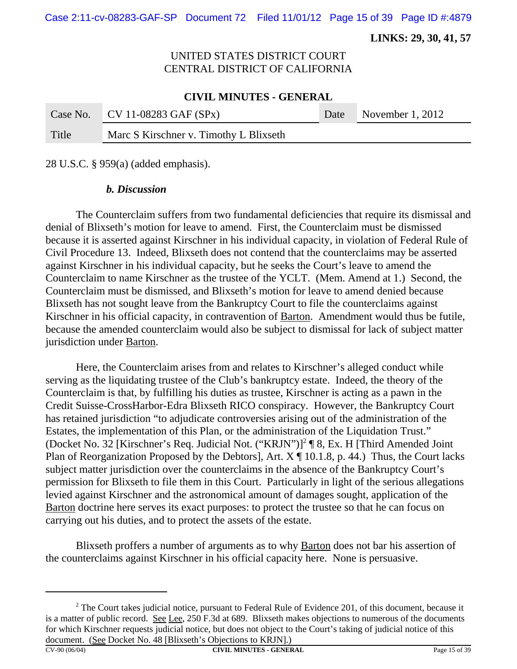**LINKS: 29, 30, 41, 57**

# UNITED STATES DISTRICT COURT CENTRAL DISTRICT OF CALIFORNIA

#### **CIVIL MINUTES - GENERAL**

|       | Case No. CV 11-08283 GAF $(SPx)$       | Date November 1, 2012 |
|-------|----------------------------------------|-----------------------|
| Title | Marc S Kirschner v. Timothy L Blixseth |                       |

28 U.S.C. § 959(a) (added emphasis).

#### *b. Discussion*

The Counterclaim suffers from two fundamental deficiencies that require its dismissal and denial of Blixseth's motion for leave to amend. First, the Counterclaim must be dismissed because it is asserted against Kirschner in his individual capacity, in violation of Federal Rule of Civil Procedure 13. Indeed, Blixseth does not contend that the counterclaims may be asserted against Kirschner in his individual capacity, but he seeks the Court's leave to amend the Counterclaim to name Kirschner as the trustee of the YCLT. (Mem. Amend at 1.) Second, the Counterclaim must be dismissed, and Blixseth's motion for leave to amend denied because Blixseth has not sought leave from the Bankruptcy Court to file the counterclaims against Kirschner in his official capacity, in contravention of Barton.Amendment would thus be futile, because the amended counterclaim would also be subject to dismissal for lack of subject matter jurisdiction under Barton.

Here, the Counterclaim arises from and relates to Kirschner's alleged conduct while serving as the liquidating trustee of the Club's bankruptcy estate. Indeed, the theory of the Counterclaim is that, by fulfilling his duties as trustee, Kirschner is acting as a pawn in the Credit Suisse-CrossHarbor-Edra Blixseth RICO conspiracy. However, the Bankruptcy Court has retained jurisdiction "to adjudicate controversies arising out of the administration of the Estates, the implementation of this Plan, or the administration of the Liquidation Trust." (Docket No. 32 [Kirschner's Req. Judicial Not. ("KRJN")]<sup>2</sup> [8, Ex. H [Third Amended Joint Plan of Reorganization Proposed by the Debtors], Art.  $X \P 10.1.8$ , p. 44.) Thus, the Court lacks subject matter jurisdiction over the counterclaims in the absence of the Bankruptcy Court's permission for Blixseth to file them in this Court. Particularly in light of the serious allegations levied against Kirschner and the astronomical amount of damages sought, application of the Barton doctrine here serves its exact purposes: to protect the trustee so that he can focus on carrying out his duties, and to protect the assets of the estate.

Blixseth proffers a number of arguments as to why Barton does not bar his assertion of the counterclaims against Kirschner in his official capacity here. None is persuasive.

 $2^2$  The Court takes judicial notice, pursuant to Federal Rule of Evidence 201, of this document, because it is a matter of public record. See Lee, 250 F.3d at 689. Blixseth makes objections to numerous of the documents for which Kirschner requests judicial notice, but does not object to the Court's taking of judicial notice of this document. (See Docket No. 48 [Blixseth's Objections to KRJN].)

CV-90 (06/04) **CIVIL MINUTES - GENERAL** Page 15 of 39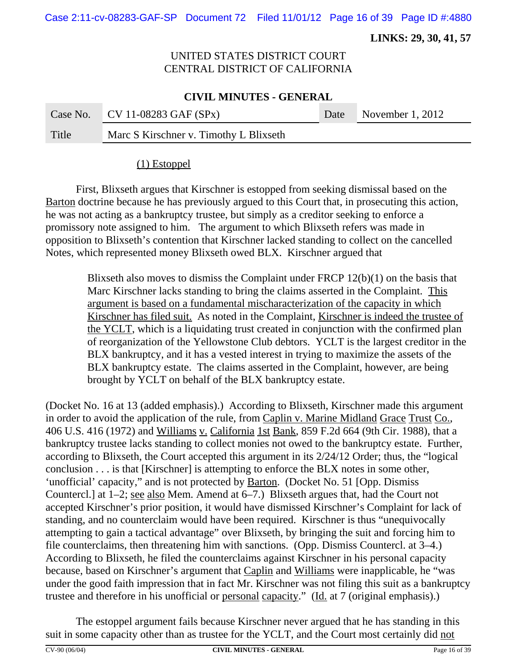Case 2:11-cv-08283-GAF-SP Document 72 Filed 11/01/12 Page 16 of 39 Page ID #:4880

 **LINKS: 29, 30, 41, 57**

# UNITED STATES DISTRICT COURT CENTRAL DISTRICT OF CALIFORNIA

#### **CIVIL MINUTES - GENERAL**

|       | Case No. CV 11-08283 GAF $(SPx)$       | Date November 1, 2012 |
|-------|----------------------------------------|-----------------------|
| Title | Marc S Kirschner v. Timothy L Blixseth |                       |

### (1) Estoppel

First, Blixseth argues that Kirschner is estopped from seeking dismissal based on the Barton doctrine because he has previously argued to this Court that, in prosecuting this action, he was not acting as a bankruptcy trustee, but simply as a creditor seeking to enforce a promissory note assigned to him. The argument to which Blixseth refers was made in opposition to Blixseth's contention that Kirschner lacked standing to collect on the cancelled Notes, which represented money Blixseth owed BLX. Kirschner argued that

> Blixseth also moves to dismiss the Complaint under FRCP 12(b)(1) on the basis that Marc Kirschner lacks standing to bring the claims asserted in the Complaint. This argument is based on a fundamental mischaracterization of the capacity in which Kirschner has filed suit. As noted in the Complaint, Kirschner is indeed the trustee of the YCLT, which is a liquidating trust created in conjunction with the confirmed plan of reorganization of the Yellowstone Club debtors. YCLT is the largest creditor in the BLX bankruptcy, and it has a vested interest in trying to maximize the assets of the BLX bankruptcy estate. The claims asserted in the Complaint, however, are being brought by YCLT on behalf of the BLX bankruptcy estate.

(Docket No. 16 at 13 (added emphasis).) According to Blixseth, Kirschner made this argument in order to avoid the application of the rule, from Caplin v. Marine Midland Grace Trust Co., 406 U.S. 416 (1972) and Williams v. California 1st Bank, 859 F.2d 664 (9th Cir. 1988), that a bankruptcy trustee lacks standing to collect monies not owed to the bankruptcy estate. Further, according to Blixseth, the Court accepted this argument in its 2/24/12 Order; thus, the "logical conclusion . . . is that [Kirschner] is attempting to enforce the BLX notes in some other, 'unofficial' capacity," and is not protected by **Barton.** (Docket No. 51 [Opp. Dismiss] Countercl.] at 1–2; see also Mem. Amend at 6–7.) Blixseth argues that, had the Court not accepted Kirschner's prior position, it would have dismissed Kirschner's Complaint for lack of standing, and no counterclaim would have been required. Kirschner is thus "unequivocally attempting to gain a tactical advantage" over Blixseth, by bringing the suit and forcing him to file counterclaims, then threatening him with sanctions. (Opp. Dismiss Countercl. at 3–4.) According to Blixseth, he filed the counterclaims against Kirschner in his personal capacity because, based on Kirschner's argument that Caplin and Williams were inapplicable, he "was under the good faith impression that in fact Mr. Kirschner was not filing this suit as a bankruptcy trustee and therefore in his unofficial or <u>personal capacity</u>." (Id. at 7 (original emphasis).)

The estoppel argument fails because Kirschner never argued that he has standing in this suit in some capacity other than as trustee for the YCLT, and the Court most certainly did not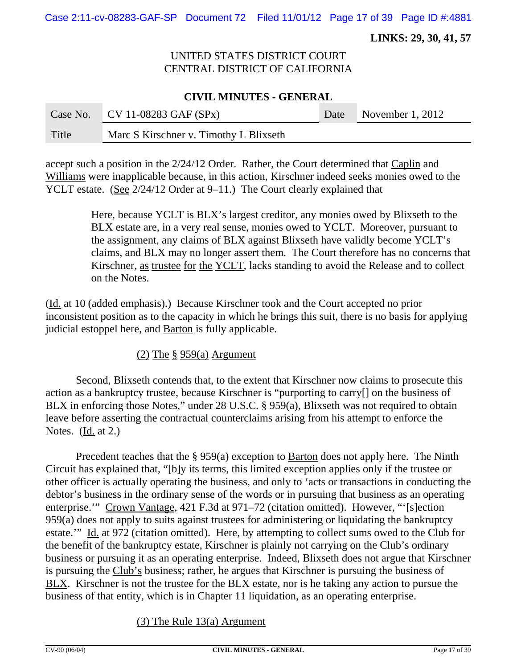Case 2:11-cv-08283-GAF-SP Document 72 Filed 11/01/12 Page 17 of 39 Page ID #:4881

 **LINKS: 29, 30, 41, 57**

# UNITED STATES DISTRICT COURT CENTRAL DISTRICT OF CALIFORNIA

### **CIVIL MINUTES - GENERAL**

|       | Case No. CV 11-08283 GAF $(SPx)$       | Date November 1, 2012 |
|-------|----------------------------------------|-----------------------|
| Title | Marc S Kirschner v. Timothy L Blixseth |                       |

accept such a position in the 2/24/12 Order. Rather, the Court determined that Caplin and Williams were inapplicable because, in this action, Kirschner indeed seeks monies owed to the YCLT estate. (See 2/24/12 Order at 9–11.) The Court clearly explained that

> Here, because YCLT is BLX's largest creditor, any monies owed by Blixseth to the BLX estate are, in a very real sense, monies owed to YCLT. Moreover, pursuant to the assignment, any claims of BLX against Blixseth have validly become YCLT's claims, and BLX may no longer assert them. The Court therefore has no concerns that Kirschner, as trustee for the YCLT, lacks standing to avoid the Release and to collect on the Notes.

(Id. at 10 (added emphasis).) Because Kirschner took and the Court accepted no prior inconsistent position as to the capacity in which he brings this suit, there is no basis for applying judicial estoppel here, and **Barton** is fully applicable.

(2) The  $\S$  959(a) Argument

Second, Blixseth contends that, to the extent that Kirschner now claims to prosecute this action as a bankruptcy trustee, because Kirschner is "purporting to carry[] on the business of BLX in enforcing those Notes," under 28 U.S.C. § 959(a), Blixseth was not required to obtain leave before asserting the contractual counterclaims arising from his attempt to enforce the Notes. (Id. at 2.)

Precedent teaches that the § 959(a) exception to Barton does not apply here. The Ninth Circuit has explained that, "[b]y its terms, this limited exception applies only if the trustee or other officer is actually operating the business, and only to 'acts or transactions in conducting the debtor's business in the ordinary sense of the words or in pursuing that business as an operating enterprise.'" Crown Vantage, 421 F.3d at 971–72 (citation omitted). However, "'[s]ection 959(a) does not apply to suits against trustees for administering or liquidating the bankruptcy estate.'" Id. at 972 (citation omitted). Here, by attempting to collect sums owed to the Club for the benefit of the bankruptcy estate, Kirschner is plainly not carrying on the Club's ordinary business or pursuing it as an operating enterprise. Indeed, Blixseth does not argue that Kirschner is pursuing the Club's business; rather, he argues that Kirschner is pursuing the business of BLX. Kirschner is not the trustee for the BLX estate, nor is he taking any action to pursue the business of that entity, which is in Chapter 11 liquidation, as an operating enterprise.

# (3) The Rule 13(a) Argument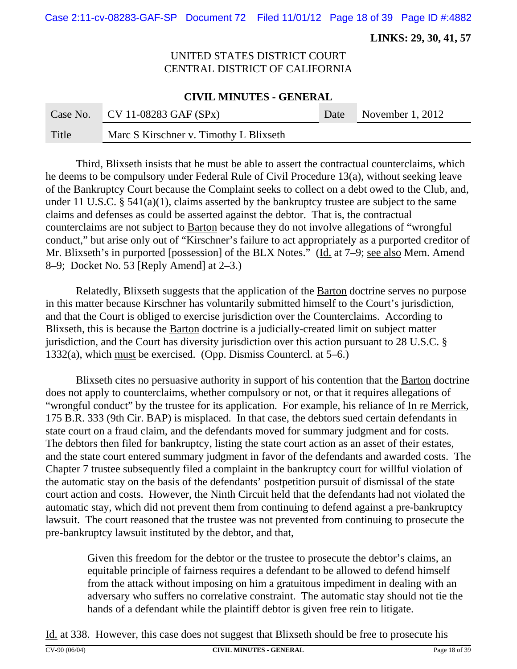Case 2:11-cv-08283-GAF-SP Document 72 Filed 11/01/12 Page 18 of 39 Page ID #:4882

 **LINKS: 29, 30, 41, 57**

# UNITED STATES DISTRICT COURT CENTRAL DISTRICT OF CALIFORNIA

### **CIVIL MINUTES - GENERAL**

|       | Case No. CV 11-08283 GAF $(SPx)$       | Date November 1, 2012 |
|-------|----------------------------------------|-----------------------|
| Title | Marc S Kirschner v. Timothy L Blixseth |                       |

Third, Blixseth insists that he must be able to assert the contractual counterclaims, which he deems to be compulsory under Federal Rule of Civil Procedure 13(a), without seeking leave of the Bankruptcy Court because the Complaint seeks to collect on a debt owed to the Club, and, under 11 U.S.C. § 541(a)(1), claims asserted by the bankruptcy trustee are subject to the same claims and defenses as could be asserted against the debtor. That is, the contractual counterclaims are not subject to Barton because they do not involve allegations of "wrongful conduct," but arise only out of "Kirschner's failure to act appropriately as a purported creditor of Mr. Blixseth's in purported [possession] of the BLX Notes." (Id. at 7–9; see also Mem. Amend 8–9; Docket No. 53 [Reply Amend] at 2–3.)

Relatedly, Blixseth suggests that the application of the **Barton** doctrine serves no purpose in this matter because Kirschner has voluntarily submitted himself to the Court's jurisdiction, and that the Court is obliged to exercise jurisdiction over the Counterclaims. According to Blixseth, this is because the Barton doctrine is a judicially-created limit on subject matter jurisdiction, and the Court has diversity jurisdiction over this action pursuant to 28 U.S.C. § 1332(a), which must be exercised. (Opp. Dismiss Countercl. at 5–6.)

Blixseth cites no persuasive authority in support of his contention that the Barton doctrine does not apply to counterclaims, whether compulsory or not, or that it requires allegations of "wrongful conduct" by the trustee for its application. For example, his reliance of In re Merrick, 175 B.R. 333 (9th Cir. BAP) is misplaced. In that case, the debtors sued certain defendants in state court on a fraud claim, and the defendants moved for summary judgment and for costs. The debtors then filed for bankruptcy, listing the state court action as an asset of their estates, and the state court entered summary judgment in favor of the defendants and awarded costs. The Chapter 7 trustee subsequently filed a complaint in the bankruptcy court for willful violation of the automatic stay on the basis of the defendants' postpetition pursuit of dismissal of the state court action and costs. However, the Ninth Circuit held that the defendants had not violated the automatic stay, which did not prevent them from continuing to defend against a pre-bankruptcy lawsuit. The court reasoned that the trustee was not prevented from continuing to prosecute the pre-bankruptcy lawsuit instituted by the debtor, and that,

Given this freedom for the debtor or the trustee to prosecute the debtor's claims, an equitable principle of fairness requires a defendant to be allowed to defend himself from the attack without imposing on him a gratuitous impediment in dealing with an adversary who suffers no correlative constraint. The automatic stay should not tie the hands of a defendant while the plaintiff debtor is given free rein to litigate.

Id. at 338. However, this case does not suggest that Blixseth should be free to prosecute his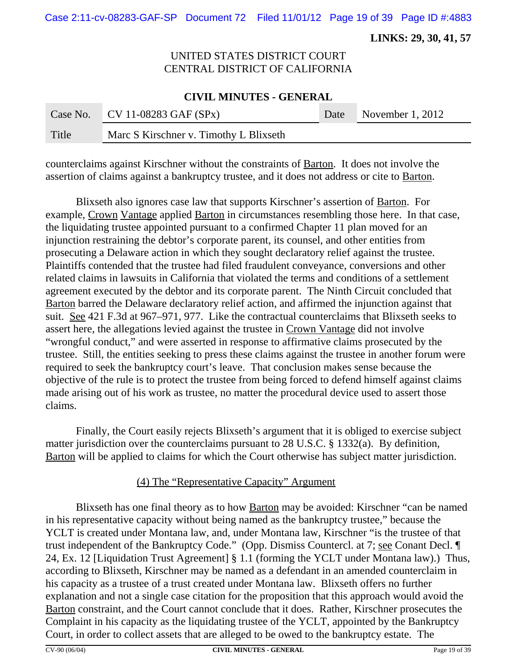Case 2:11-cv-08283-GAF-SP Document 72 Filed 11/01/12 Page 19 of 39 Page ID #:4883

 **LINKS: 29, 30, 41, 57**

# UNITED STATES DISTRICT COURT CENTRAL DISTRICT OF CALIFORNIA

#### **CIVIL MINUTES - GENERAL**

|       | Case No. CV 11-08283 GAF $(SPx)$       | Date November 1, 2012 |
|-------|----------------------------------------|-----------------------|
| Title | Marc S Kirschner v. Timothy L Blixseth |                       |

counterclaims against Kirschner without the constraints of Barton. It does not involve the assertion of claims against a bankruptcy trustee, and it does not address or cite to Barton.

Blixseth also ignores case law that supports Kirschner's assertion of Barton. For example, Crown Vantage applied Barton in circumstances resembling those here. In that case, the liquidating trustee appointed pursuant to a confirmed Chapter 11 plan moved for an injunction restraining the debtor's corporate parent, its counsel, and other entities from prosecuting a Delaware action in which they sought declaratory relief against the trustee. Plaintiffs contended that the trustee had filed fraudulent conveyance, conversions and other related claims in lawsuits in California that violated the terms and conditions of a settlement agreement executed by the debtor and its corporate parent. The Ninth Circuit concluded that Barton barred the Delaware declaratory relief action, and affirmed the injunction against that suit. See 421 F.3d at 967–971, 977. Like the contractual counterclaims that Blixseth seeks to assert here, the allegations levied against the trustee in Crown Vantage did not involve "wrongful conduct," and were asserted in response to affirmative claims prosecuted by the trustee. Still, the entities seeking to press these claims against the trustee in another forum were required to seek the bankruptcy court's leave. That conclusion makes sense because the objective of the rule is to protect the trustee from being forced to defend himself against claims made arising out of his work as trustee, no matter the procedural device used to assert those claims.

Finally, the Court easily rejects Blixseth's argument that it is obliged to exercise subject matter jurisdiction over the counterclaims pursuant to 28 U.S.C. § 1332(a). By definition, Barton will be applied to claims for which the Court otherwise has subject matter jurisdiction.

#### (4) The "Representative Capacity" Argument

Blixseth has one final theory as to how Barton may be avoided: Kirschner "can be named in his representative capacity without being named as the bankruptcy trustee," because the YCLT is created under Montana law, and, under Montana law, Kirschner "is the trustee of that trust independent of the Bankruptcy Code." (Opp. Dismiss Countercl. at 7; see Conant Decl. ¶ 24, Ex. 12 [Liquidation Trust Agreement] § 1.1 (forming the YCLT under Montana law).) Thus, according to Blixseth, Kirschner may be named as a defendant in an amended counterclaim in his capacity as a trustee of a trust created under Montana law. Blixseth offers no further explanation and not a single case citation for the proposition that this approach would avoid the Barton constraint, and the Court cannot conclude that it does. Rather, Kirschner prosecutes the Complaint in his capacity as the liquidating trustee of the YCLT, appointed by the Bankruptcy Court, in order to collect assets that are alleged to be owed to the bankruptcy estate. The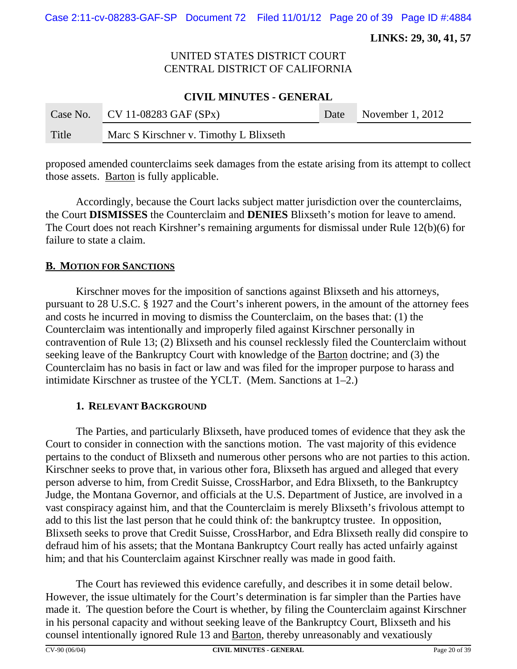Case 2:11-cv-08283-GAF-SP Document 72 Filed 11/01/12 Page 20 of 39 Page ID #:4884

 **LINKS: 29, 30, 41, 57**

# UNITED STATES DISTRICT COURT CENTRAL DISTRICT OF CALIFORNIA

#### **CIVIL MINUTES - GENERAL**

|       | Case No. CV 11-08283 GAF $(SPx)$       | Date November 1, 2012 |
|-------|----------------------------------------|-----------------------|
| Title | Marc S Kirschner v. Timothy L Blixseth |                       |

proposed amended counterclaims seek damages from the estate arising from its attempt to collect those assets. Barton is fully applicable.

Accordingly, because the Court lacks subject matter jurisdiction over the counterclaims, the Court **DISMISSES** the Counterclaim and **DENIES** Blixseth's motion for leave to amend. The Court does not reach Kirshner's remaining arguments for dismissal under Rule 12(b)(6) for failure to state a claim.

#### **B. MOTION FOR SANCTIONS**

Kirschner moves for the imposition of sanctions against Blixseth and his attorneys, pursuant to 28 U.S.C. § 1927 and the Court's inherent powers, in the amount of the attorney fees and costs he incurred in moving to dismiss the Counterclaim, on the bases that: (1) the Counterclaim was intentionally and improperly filed against Kirschner personally in contravention of Rule 13; (2) Blixseth and his counsel recklessly filed the Counterclaim without seeking leave of the Bankruptcy Court with knowledge of the Barton doctrine; and (3) the Counterclaim has no basis in fact or law and was filed for the improper purpose to harass and intimidate Kirschner as trustee of the YCLT. (Mem. Sanctions at 1–2.)

#### **1. RELEVANT BACKGROUND**

The Parties, and particularly Blixseth, have produced tomes of evidence that they ask the Court to consider in connection with the sanctions motion. The vast majority of this evidence pertains to the conduct of Blixseth and numerous other persons who are not parties to this action. Kirschner seeks to prove that, in various other fora, Blixseth has argued and alleged that every person adverse to him, from Credit Suisse, CrossHarbor, and Edra Blixseth, to the Bankruptcy Judge, the Montana Governor, and officials at the U.S. Department of Justice, are involved in a vast conspiracy against him, and that the Counterclaim is merely Blixseth's frivolous attempt to add to this list the last person that he could think of: the bankruptcy trustee. In opposition, Blixseth seeks to prove that Credit Suisse, CrossHarbor, and Edra Blixseth really did conspire to defraud him of his assets; that the Montana Bankruptcy Court really has acted unfairly against him; and that his Counterclaim against Kirschner really was made in good faith.

The Court has reviewed this evidence carefully, and describes it in some detail below. However, the issue ultimately for the Court's determination is far simpler than the Parties have made it. The question before the Court is whether, by filing the Counterclaim against Kirschner in his personal capacity and without seeking leave of the Bankruptcy Court, Blixseth and his counsel intentionally ignored Rule 13 and Barton, thereby unreasonably and vexatiously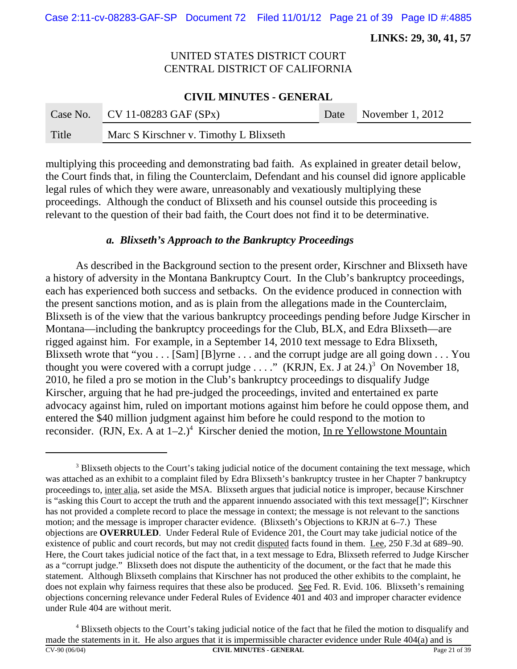Case 2:11-cv-08283-GAF-SP Document 72 Filed 11/01/12 Page 21 of 39 Page ID #:4885

 **LINKS: 29, 30, 41, 57**

# UNITED STATES DISTRICT COURT CENTRAL DISTRICT OF CALIFORNIA

#### **CIVIL MINUTES - GENERAL**

|       | Case No. CV 11-08283 GAF $(SPx)$       | Date November 1, 2012 |
|-------|----------------------------------------|-----------------------|
| Title | Marc S Kirschner v. Timothy L Blixseth |                       |

multiplying this proceeding and demonstrating bad faith. As explained in greater detail below, the Court finds that, in filing the Counterclaim, Defendant and his counsel did ignore applicable legal rules of which they were aware, unreasonably and vexatiously multiplying these proceedings. Although the conduct of Blixseth and his counsel outside this proceeding is relevant to the question of their bad faith, the Court does not find it to be determinative.

#### *a. Blixseth's Approach to the Bankruptcy Proceedings*

As described in the Background section to the present order, Kirschner and Blixseth have a history of adversity in the Montana Bankruptcy Court. In the Club's bankruptcy proceedings, each has experienced both success and setbacks. On the evidence produced in connection with the present sanctions motion, and as is plain from the allegations made in the Counterclaim, Blixseth is of the view that the various bankruptcy proceedings pending before Judge Kirscher in Montana—including the bankruptcy proceedings for the Club, BLX, and Edra Blixseth—are rigged against him. For example, in a September 14, 2010 text message to Edra Blixseth, Blixseth wrote that "you . . . [Sam] [B]yrne . . . and the corrupt judge are all going down . . . You thought you were covered with a corrupt judge  $\ldots$ ." (KRJN, Ex. J at 24.)<sup>3</sup> On November 18, 2010, he filed a pro se motion in the Club's bankruptcy proceedings to disqualify Judge Kirscher, arguing that he had pre-judged the proceedings, invited and entertained ex parte advocacy against him, ruled on important motions against him before he could oppose them, and entered the \$40 million judgment against him before he could respond to the motion to reconsider. (RJN, Ex. A at  $1-2.$ )<sup>4</sup> Kirscher denied the motion, In re Yellowstone Mountain

<sup>&</sup>lt;sup>3</sup> Blixseth objects to the Court's taking judicial notice of the document containing the text message, which was attached as an exhibit to a complaint filed by Edra Blixseth's bankruptcy trustee in her Chapter 7 bankruptcy proceedings to, inter alia, set aside the MSA. Blixseth argues that judicial notice is improper, because Kirschner is "asking this Court to accept the truth and the apparent innuendo associated with this text message[]"; Kirschner has not provided a complete record to place the message in context; the message is not relevant to the sanctions motion; and the message is improper character evidence. (Blixseth's Objections to KRJN at 6–7.) These objections are **OVERRULED**. Under Federal Rule of Evidence 201, the Court may take judicial notice of the existence of public and court records, but may not credit disputed facts found in them. Lee, 250 F.3d at 689–90. Here, the Court takes judicial notice of the fact that, in a text message to Edra, Blixseth referred to Judge Kirscher as a "corrupt judge." Blixseth does not dispute the authenticity of the document, or the fact that he made this statement. Although Blixseth complains that Kirschner has not produced the other exhibits to the complaint, he does not explain why fairness requires that these also be produced. See Fed. R. Evid. 106. Blixseth's remaining objections concerning relevance under Federal Rules of Evidence 401 and 403 and improper character evidence under Rule 404 are without merit.

<sup>&</sup>lt;sup>4</sup> Blixseth objects to the Court's taking judicial notice of the fact that he filed the motion to disqualify and made the statements in it. He also argues that it is impermissible character evidence under Rule 404(a) and is CV-90 (06/04) **CIVIL MINUTES - GENERAL** Page 21 of 39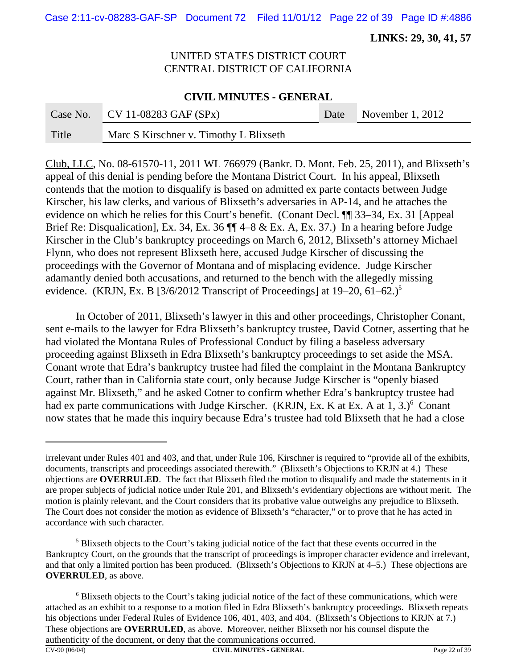Case 2:11-cv-08283-GAF-SP Document 72 Filed 11/01/12 Page 22 of 39 Page ID #:4886

 **LINKS: 29, 30, 41, 57**

# UNITED STATES DISTRICT COURT CENTRAL DISTRICT OF CALIFORNIA

#### **CIVIL MINUTES - GENERAL**

|       | Case No. CV 11-08283 GAF $(SPx)$       | Date November 1, 2012 |
|-------|----------------------------------------|-----------------------|
| Title | Marc S Kirschner v. Timothy L Blixseth |                       |

Club, LLC, No. 08-61570-11, 2011 WL 766979 (Bankr. D. Mont. Feb. 25, 2011), and Blixseth's appeal of this denial is pending before the Montana District Court. In his appeal, Blixseth contends that the motion to disqualify is based on admitted ex parte contacts between Judge Kirscher, his law clerks, and various of Blixseth's adversaries in AP-14, and he attaches the evidence on which he relies for this Court's benefit. (Conant Decl. ¶¶ 33–34, Ex. 31 [Appeal Brief Re: Disqualication], Ex. 34, Ex. 36  $\P\P$  4–8 & Ex. A, Ex. 37.) In a hearing before Judge Kirscher in the Club's bankruptcy proceedings on March 6, 2012, Blixseth's attorney Michael Flynn, who does not represent Blixseth here, accused Judge Kirscher of discussing the proceedings with the Governor of Montana and of misplacing evidence. Judge Kirscher adamantly denied both accusations, and returned to the bench with the allegedly missing evidence. (KRJN, Ex. B  $[3/6/2012$  Transcript of Proceedings] at 19–20, 61–62.)<sup>5</sup>

In October of 2011, Blixseth's lawyer in this and other proceedings, Christopher Conant, sent e-mails to the lawyer for Edra Blixseth's bankruptcy trustee, David Cotner, asserting that he had violated the Montana Rules of Professional Conduct by filing a baseless adversary proceeding against Blixseth in Edra Blixseth's bankruptcy proceedings to set aside the MSA. Conant wrote that Edra's bankruptcy trustee had filed the complaint in the Montana Bankruptcy Court, rather than in California state court, only because Judge Kirscher is "openly biased against Mr. Blixseth," and he asked Cotner to confirm whether Edra's bankruptcy trustee had had ex parte communications with Judge Kirscher. (KRJN, Ex. K at Ex. A at 1, 3.)<sup>6</sup> Conant now states that he made this inquiry because Edra's trustee had told Blixseth that he had a close

irrelevant under Rules 401 and 403, and that, under Rule 106, Kirschner is required to "provide all of the exhibits, documents, transcripts and proceedings associated therewith." (Blixseth's Objections to KRJN at 4.) These objections are **OVERRULED**. The fact that Blixseth filed the motion to disqualify and made the statements in it are proper subjects of judicial notice under Rule 201, and Blixseth's evidentiary objections are without merit. The motion is plainly relevant, and the Court considers that its probative value outweighs any prejudice to Blixseth. The Court does not consider the motion as evidence of Blixseth's "character," or to prove that he has acted in accordance with such character.

<sup>&</sup>lt;sup>5</sup> Blixseth objects to the Court's taking judicial notice of the fact that these events occurred in the Bankruptcy Court, on the grounds that the transcript of proceedings is improper character evidence and irrelevant, and that only a limited portion has been produced. (Blixseth's Objections to KRJN at 4–5.) These objections are **OVERRULED**, as above.

<sup>&</sup>lt;sup>6</sup> Blixseth objects to the Court's taking judicial notice of the fact of these communications, which were attached as an exhibit to a response to a motion filed in Edra Blixseth's bankruptcy proceedings. Blixseth repeats his objections under Federal Rules of Evidence 106, 401, 403, and 404. (Blixseth's Objections to KRJN at 7.) These objections are **OVERRULED**, as above. Moreover, neither Blixseth nor his counsel dispute the authenticity of the document, or deny that the communications occurred.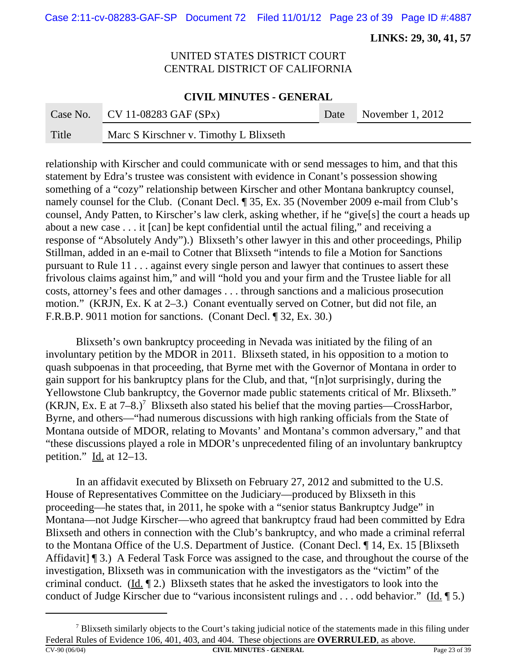Case 2:11-cv-08283-GAF-SP Document 72 Filed 11/01/12 Page 23 of 39 Page ID #:4887

 **LINKS: 29, 30, 41, 57**

# UNITED STATES DISTRICT COURT CENTRAL DISTRICT OF CALIFORNIA

#### **CIVIL MINUTES - GENERAL**

|       | Case No. CV 11-08283 GAF $(SPx)$       | Date November 1, 2012 |
|-------|----------------------------------------|-----------------------|
| Title | Marc S Kirschner v. Timothy L Blixseth |                       |

relationship with Kirscher and could communicate with or send messages to him, and that this statement by Edra's trustee was consistent with evidence in Conant's possession showing something of a "cozy" relationship between Kirscher and other Montana bankruptcy counsel, namely counsel for the Club. (Conant Decl. ¶ 35, Ex. 35 (November 2009 e-mail from Club's counsel, Andy Patten, to Kirscher's law clerk, asking whether, if he "give[s] the court a heads up about a new case . . . it [can] be kept confidential until the actual filing," and receiving a response of "Absolutely Andy").) Blixseth's other lawyer in this and other proceedings, Philip Stillman, added in an e-mail to Cotner that Blixseth "intends to file a Motion for Sanctions pursuant to Rule 11 . . . against every single person and lawyer that continues to assert these frivolous claims against him," and will "hold you and your firm and the Trustee liable for all costs, attorney's fees and other damages . . . through sanctions and a malicious prosecution motion." (KRJN, Ex. K at 2–3.) Conant eventually served on Cotner, but did not file, an F.R.B.P. 9011 motion for sanctions. (Conant Decl. ¶ 32, Ex. 30.)

Blixseth's own bankruptcy proceeding in Nevada was initiated by the filing of an involuntary petition by the MDOR in 2011. Blixseth stated, in his opposition to a motion to quash subpoenas in that proceeding, that Byrne met with the Governor of Montana in order to gain support for his bankruptcy plans for the Club, and that, "[n]ot surprisingly, during the Yellowstone Club bankruptcy, the Governor made public statements critical of Mr. Blixseth." (KRJN, Ex. E at  $7-8$ .)<sup>7</sup> Blixseth also stated his belief that the moving parties—CrossHarbor, Byrne, and others—"had numerous discussions with high ranking officials from the State of Montana outside of MDOR, relating to Movants' and Montana's common adversary," and that "these discussions played a role in MDOR's unprecedented filing of an involuntary bankruptcy petition." Id. at 12–13.

In an affidavit executed by Blixseth on February 27, 2012 and submitted to the U.S. House of Representatives Committee on the Judiciary—produced by Blixseth in this proceeding—he states that, in 2011, he spoke with a "senior status Bankruptcy Judge" in Montana—not Judge Kirscher—who agreed that bankruptcy fraud had been committed by Edra Blixseth and others in connection with the Club's bankruptcy, and who made a criminal referral to the Montana Office of the U.S. Department of Justice. (Conant Decl. ¶ 14, Ex. 15 [Blixseth Affidavit] ¶ 3.) A Federal Task Force was assigned to the case, and throughout the course of the investigation, Blixseth was in communication with the investigators as the "victim" of the criminal conduct. (Id. ¶ 2.) Blixseth states that he asked the investigators to look into the conduct of Judge Kirscher due to "various inconsistent rulings and . . . odd behavior." (Id.  $\llbracket 5$ .)

 $<sup>7</sup>$  Blixseth similarly objects to the Court's taking judicial notice of the statements made in this filing under</sup> Federal Rules of Evidence 106, 401, 403, and 404. These objections are **OVERRULED**, as above. CV-90 (06/04) **CIVIL MINUTES - GENERAL** Page 23 of 39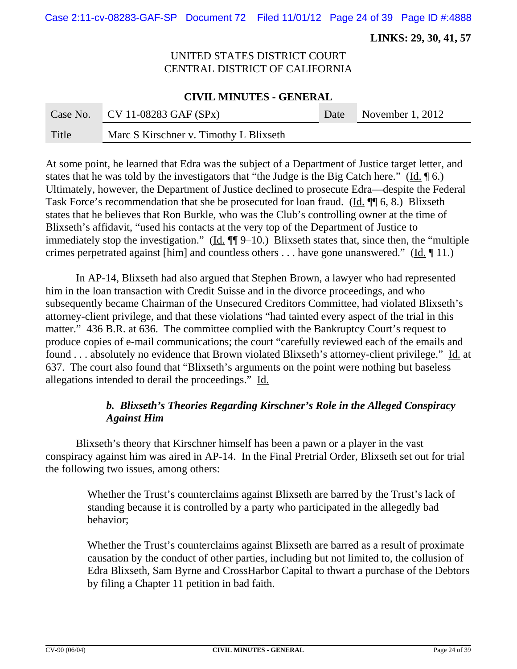Case 2:11-cv-08283-GAF-SP Document 72 Filed 11/01/12 Page 24 of 39 Page ID #:4888

 **LINKS: 29, 30, 41, 57**

## UNITED STATES DISTRICT COURT CENTRAL DISTRICT OF CALIFORNIA

#### **CIVIL MINUTES - GENERAL**

|       | Case No. CV 11-08283 GAF $(SPx)$       | Date November 1, 2012 |
|-------|----------------------------------------|-----------------------|
| Title | Marc S Kirschner v. Timothy L Blixseth |                       |

At some point, he learned that Edra was the subject of a Department of Justice target letter, and states that he was told by the investigators that "the Judge is the Big Catch here." ( $\underline{Id}$ .  $\P$  6.) Ultimately, however, the Department of Justice declined to prosecute Edra—despite the Federal Task Force's recommendation that she be prosecuted for loan fraud. (Id. ¶¶ 6, 8.) Blixseth states that he believes that Ron Burkle, who was the Club's controlling owner at the time of Blixseth's affidavit, "used his contacts at the very top of the Department of Justice to immediately stop the investigation." ( $\underline{Id}$ .  $\P\P$ 9–10.) Blixseth states that, since then, the "multiple crimes perpetrated against [him] and countless others . . . have gone unanswered." (Id. ¶ 11.)

In AP-14, Blixseth had also argued that Stephen Brown, a lawyer who had represented him in the loan transaction with Credit Suisse and in the divorce proceedings, and who subsequently became Chairman of the Unsecured Creditors Committee, had violated Blixseth's attorney-client privilege, and that these violations "had tainted every aspect of the trial in this matter." 436 B.R. at 636. The committee complied with the Bankruptcy Court's request to produce copies of e-mail communications; the court "carefully reviewed each of the emails and found . . . absolutely no evidence that Brown violated Blixseth's attorney-client privilege." Id. at 637. The court also found that "Blixseth's arguments on the point were nothing but baseless allegations intended to derail the proceedings." Id.

# *b. Blixseth's Theories Regarding Kirschner's Role in the Alleged Conspiracy Against Him*

Blixseth's theory that Kirschner himself has been a pawn or a player in the vast conspiracy against him was aired in AP-14. In the Final Pretrial Order, Blixseth set out for trial the following two issues, among others:

Whether the Trust's counterclaims against Blixseth are barred by the Trust's lack of standing because it is controlled by a party who participated in the allegedly bad behavior;

Whether the Trust's counterclaims against Blixseth are barred as a result of proximate causation by the conduct of other parties, including but not limited to, the collusion of Edra Blixseth, Sam Byrne and CrossHarbor Capital to thwart a purchase of the Debtors by filing a Chapter 11 petition in bad faith.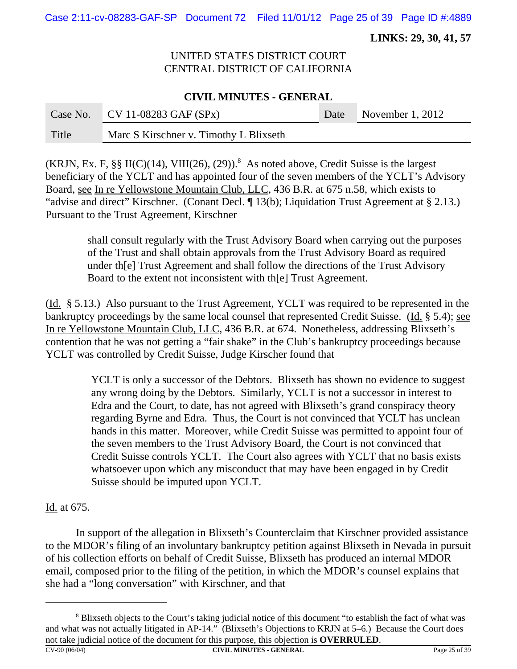Case 2:11-cv-08283-GAF-SP Document 72 Filed 11/01/12 Page 25 of 39 Page ID #:4889

 **LINKS: 29, 30, 41, 57**

# UNITED STATES DISTRICT COURT CENTRAL DISTRICT OF CALIFORNIA

### **CIVIL MINUTES - GENERAL**

|       | Case No. CV 11-08283 GAF $(SPx)$       | Date November 1, 2012 |
|-------|----------------------------------------|-----------------------|
| Title | Marc S Kirschner v. Timothy L Blixseth |                       |

(KRJN, Ex. F, §§ II(C)(14), VIII(26), (29)).<sup>8</sup> As noted above, Credit Suisse is the largest beneficiary of the YCLT and has appointed four of the seven members of the YCLT's Advisory Board, see In re Yellowstone Mountain Club, LLC, 436 B.R. at 675 n.58, which exists to "advise and direct" Kirschner. (Conant Decl. ¶ 13(b); Liquidation Trust Agreement at § 2.13.) Pursuant to the Trust Agreement, Kirschner

shall consult regularly with the Trust Advisory Board when carrying out the purposes of the Trust and shall obtain approvals from the Trust Advisory Board as required under th[e] Trust Agreement and shall follow the directions of the Trust Advisory Board to the extent not inconsistent with th[e] Trust Agreement.

(Id. § 5.13.) Also pursuant to the Trust Agreement, YCLT was required to be represented in the bankruptcy proceedings by the same local counsel that represented Credit Suisse. (Id. § 5.4); see In re Yellowstone Mountain Club, LLC, 436 B.R. at 674. Nonetheless, addressing Blixseth's contention that he was not getting a "fair shake" in the Club's bankruptcy proceedings because YCLT was controlled by Credit Suisse, Judge Kirscher found that

> YCLT is only a successor of the Debtors. Blixseth has shown no evidence to suggest any wrong doing by the Debtors. Similarly, YCLT is not a successor in interest to Edra and the Court, to date, has not agreed with Blixseth's grand conspiracy theory regarding Byrne and Edra. Thus, the Court is not convinced that YCLT has unclean hands in this matter. Moreover, while Credit Suisse was permitted to appoint four of the seven members to the Trust Advisory Board, the Court is not convinced that Credit Suisse controls YCLT. The Court also agrees with YCLT that no basis exists whatsoever upon which any misconduct that may have been engaged in by Credit Suisse should be imputed upon YCLT.

Id. at 675.

In support of the allegation in Blixseth's Counterclaim that Kirschner provided assistance to the MDOR's filing of an involuntary bankruptcy petition against Blixseth in Nevada in pursuit of his collection efforts on behalf of Credit Suisse, Blixseth has produced an internal MDOR email, composed prior to the filing of the petition, in which the MDOR's counsel explains that she had a "long conversation" with Kirschner, and that

<sup>8</sup> Blixseth objects to the Court's taking judicial notice of this document "to establish the fact of what was and what was not actually litigated in AP-14." (Blixseth's Objections to KRJN at 5–6.) Because the Court does not take judicial notice of the document for this purpose, this objection is **OVERRULED**.<br>CV-90 (06/04) CIVIL MINUTES - GENERAL CIVIL MINUTES - GENERAL Page 25 of 39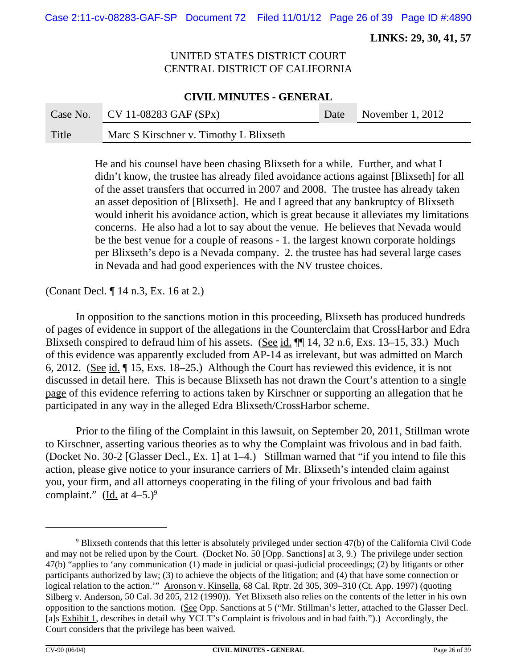Case 2:11-cv-08283-GAF-SP Document 72 Filed 11/01/12 Page 26 of 39 Page ID #:4890

 **LINKS: 29, 30, 41, 57**

# UNITED STATES DISTRICT COURT CENTRAL DISTRICT OF CALIFORNIA

#### **CIVIL MINUTES - GENERAL**

|       | Case No. CV 11-08283 GAF $(SPx)$       | Date November 1, 2012 |
|-------|----------------------------------------|-----------------------|
| Title | Marc S Kirschner v. Timothy L Blixseth |                       |

He and his counsel have been chasing Blixseth for a while. Further, and what I didn't know, the trustee has already filed avoidance actions against [Blixseth] for all of the asset transfers that occurred in 2007 and 2008. The trustee has already taken an asset deposition of [Blixseth]. He and I agreed that any bankruptcy of Blixseth would inherit his avoidance action, which is great because it alleviates my limitations concerns. He also had a lot to say about the venue. He believes that Nevada would be the best venue for a couple of reasons - 1. the largest known corporate holdings per Blixseth's depo is a Nevada company. 2. the trustee has had several large cases in Nevada and had good experiences with the NV trustee choices.

(Conant Decl. ¶ 14 n.3, Ex. 16 at 2.)

In opposition to the sanctions motion in this proceeding, Blixseth has produced hundreds of pages of evidence in support of the allegations in the Counterclaim that CrossHarbor and Edra Blixseth conspired to defraud him of his assets. (See id.  $\P$  14, 32 n.6, Exs. 13–15, 33.) Much of this evidence was apparently excluded from AP-14 as irrelevant, but was admitted on March 6, 2012. (See id. ¶ 15, Exs. 18–25.) Although the Court has reviewed this evidence, it is not discussed in detail here. This is because Blixseth has not drawn the Court's attention to a single page of this evidence referring to actions taken by Kirschner or supporting an allegation that he participated in any way in the alleged Edra Blixseth/CrossHarbor scheme.

Prior to the filing of the Complaint in this lawsuit, on September 20, 2011, Stillman wrote to Kirschner, asserting various theories as to why the Complaint was frivolous and in bad faith. (Docket No. 30-2 [Glasser Decl., Ex. 1] at 1–4.) Stillman warned that "if you intend to file this action, please give notice to your insurance carriers of Mr. Blixseth's intended claim against you, your firm, and all attorneys cooperating in the filing of your frivolous and bad faith complaint." (Id. at  $4-5.$ )<sup>9</sup>

 $9$  Blixseth contends that this letter is absolutely privileged under section 47(b) of the California Civil Code and may not be relied upon by the Court. (Docket No. 50 [Opp. Sanctions] at 3, 9.) The privilege under section 47(b) "applies to 'any communication (1) made in judicial or quasi-judicial proceedings; (2) by litigants or other participants authorized by law; (3) to achieve the objects of the litigation; and (4) that have some connection or logical relation to the action.'" Aronson v. Kinsella, 68 Cal. Rptr. 2d 305, 309–310 (Ct. App. 1997) (quoting Silberg v. Anderson, 50 Cal. 3d 205, 212 (1990)). Yet Blixseth also relies on the contents of the letter in his own opposition to the sanctions motion. (See Opp. Sanctions at 5 ("Mr. Stillman's letter, attached to the Glasser Decl. [a]s Exhibit 1, describes in detail why YCLT's Complaint is frivolous and in bad faith.").) Accordingly, the Court considers that the privilege has been waived.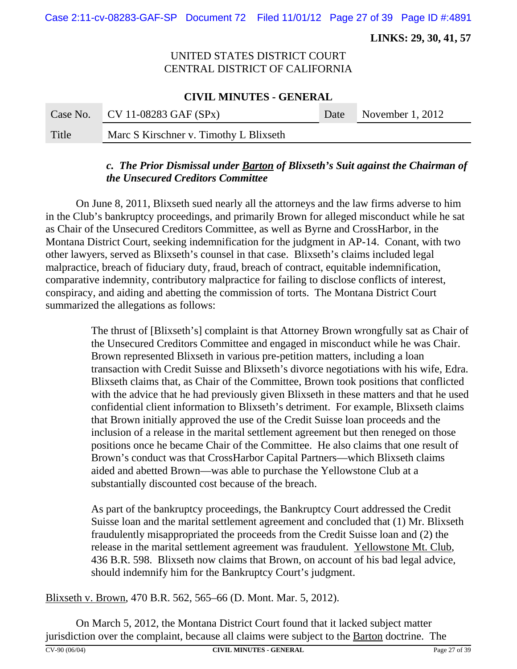Case 2:11-cv-08283-GAF-SP Document 72 Filed 11/01/12 Page 27 of 39 Page ID #:4891

 **LINKS: 29, 30, 41, 57**

# UNITED STATES DISTRICT COURT CENTRAL DISTRICT OF CALIFORNIA

#### **CIVIL MINUTES - GENERAL**

|       | Case No. CV 11-08283 GAF $(SPx)$       | Date November 1, 2012 |
|-------|----------------------------------------|-----------------------|
| Title | Marc S Kirschner v. Timothy L Blixseth |                       |

# *c. The Prior Dismissal under Barton of Blixseth's Suit against the Chairman of the Unsecured Creditors Committee*

On June 8, 2011, Blixseth sued nearly all the attorneys and the law firms adverse to him in the Club's bankruptcy proceedings, and primarily Brown for alleged misconduct while he sat as Chair of the Unsecured Creditors Committee, as well as Byrne and CrossHarbor, in the Montana District Court, seeking indemnification for the judgment in AP-14. Conant, with two other lawyers, served as Blixseth's counsel in that case. Blixseth's claims included legal malpractice, breach of fiduciary duty, fraud, breach of contract, equitable indemnification, comparative indemnity, contributory malpractice for failing to disclose conflicts of interest, conspiracy, and aiding and abetting the commission of torts. The Montana District Court summarized the allegations as follows:

> The thrust of [Blixseth's] complaint is that Attorney Brown wrongfully sat as Chair of the Unsecured Creditors Committee and engaged in misconduct while he was Chair. Brown represented Blixseth in various pre-petition matters, including a loan transaction with Credit Suisse and Blixseth's divorce negotiations with his wife, Edra. Blixseth claims that, as Chair of the Committee, Brown took positions that conflicted with the advice that he had previously given Blixseth in these matters and that he used confidential client information to Blixseth's detriment. For example, Blixseth claims that Brown initially approved the use of the Credit Suisse loan proceeds and the inclusion of a release in the marital settlement agreement but then reneged on those positions once he became Chair of the Committee. He also claims that one result of Brown's conduct was that CrossHarbor Capital Partners—which Blixseth claims aided and abetted Brown—was able to purchase the Yellowstone Club at a substantially discounted cost because of the breach.

As part of the bankruptcy proceedings, the Bankruptcy Court addressed the Credit Suisse loan and the marital settlement agreement and concluded that (1) Mr. Blixseth fraudulently misappropriated the proceeds from the Credit Suisse loan and (2) the release in the marital settlement agreement was fraudulent. Yellowstone Mt. Club, 436 B.R. 598. Blixseth now claims that Brown, on account of his bad legal advice, should indemnify him for the Bankruptcy Court's judgment.

Blixseth v. Brown, 470 B.R. 562, 565–66 (D. Mont. Mar. 5, 2012).

On March 5, 2012, the Montana District Court found that it lacked subject matter jurisdiction over the complaint, because all claims were subject to the **Barton** doctrine. The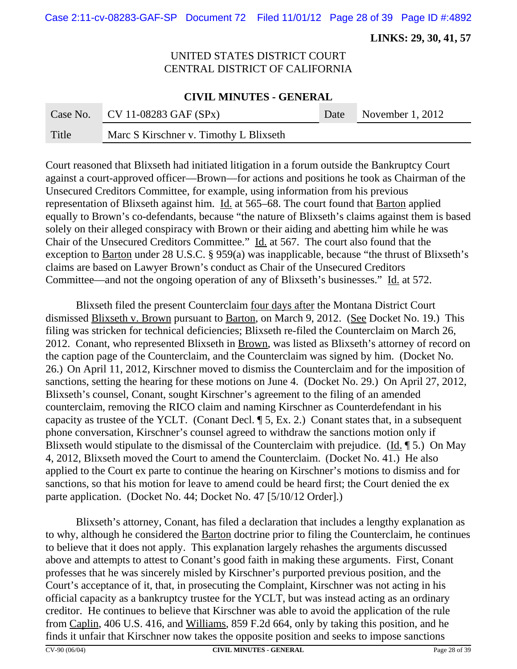Case 2:11-cv-08283-GAF-SP Document 72 Filed 11/01/12 Page 28 of 39 Page ID #:4892

 **LINKS: 29, 30, 41, 57**

# UNITED STATES DISTRICT COURT CENTRAL DISTRICT OF CALIFORNIA

#### **CIVIL MINUTES - GENERAL**

|       | Case No. CV 11-08283 GAF $(SPx)$       | Date | November $1, 2012$ |
|-------|----------------------------------------|------|--------------------|
| Title | Marc S Kirschner v. Timothy L Blixseth |      |                    |

Court reasoned that Blixseth had initiated litigation in a forum outside the Bankruptcy Court against a court-approved officer—Brown—for actions and positions he took as Chairman of the Unsecured Creditors Committee, for example, using information from his previous representation of Blixseth against him. Id. at 565–68. The court found that Barton applied equally to Brown's co-defendants, because "the nature of Blixseth's claims against them is based solely on their alleged conspiracy with Brown or their aiding and abetting him while he was Chair of the Unsecured Creditors Committee." Id. at 567. The court also found that the exception to Barton under 28 U.S.C. § 959(a) was inapplicable, because "the thrust of Blixseth's claims are based on Lawyer Brown's conduct as Chair of the Unsecured Creditors Committee—and not the ongoing operation of any of Blixseth's businesses." Id. at 572.

Blixseth filed the present Counterclaim four days after the Montana District Court dismissed Blixseth v. Brown pursuant to Barton, on March 9, 2012. (See Docket No. 19.) This filing was stricken for technical deficiencies; Blixseth re-filed the Counterclaim on March 26, 2012. Conant, who represented Blixseth in Brown, was listed as Blixseth's attorney of record on the caption page of the Counterclaim, and the Counterclaim was signed by him. (Docket No. 26.) On April 11, 2012, Kirschner moved to dismiss the Counterclaim and for the imposition of sanctions, setting the hearing for these motions on June 4. (Docket No. 29.) On April 27, 2012, Blixseth's counsel, Conant, sought Kirschner's agreement to the filing of an amended counterclaim, removing the RICO claim and naming Kirschner as Counterdefendant in his capacity as trustee of the YCLT. (Conant Decl. ¶ 5, Ex. 2.) Conant states that, in a subsequent phone conversation, Kirschner's counsel agreed to withdraw the sanctions motion only if Blixseth would stipulate to the dismissal of the Counterclaim with prejudice. (Id. ¶ 5.) On May 4, 2012, Blixseth moved the Court to amend the Counterclaim. (Docket No. 41.) He also applied to the Court ex parte to continue the hearing on Kirschner's motions to dismiss and for sanctions, so that his motion for leave to amend could be heard first; the Court denied the ex parte application. (Docket No. 44; Docket No. 47 [5/10/12 Order].)

Blixseth's attorney, Conant, has filed a declaration that includes a lengthy explanation as to why, although he considered the Barton doctrine prior to filing the Counterclaim, he continues to believe that it does not apply. This explanation largely rehashes the arguments discussed above and attempts to attest to Conant's good faith in making these arguments. First, Conant professes that he was sincerely misled by Kirschner's purported previous position, and the Court's acceptance of it, that, in prosecuting the Complaint, Kirschner was not acting in his official capacity as a bankruptcy trustee for the YCLT, but was instead acting as an ordinary creditor. He continues to believe that Kirschner was able to avoid the application of the rule from Caplin, 406 U.S. 416, and Williams, 859 F.2d 664, only by taking this position, and he finds it unfair that Kirschner now takes the opposite position and seeks to impose sanctions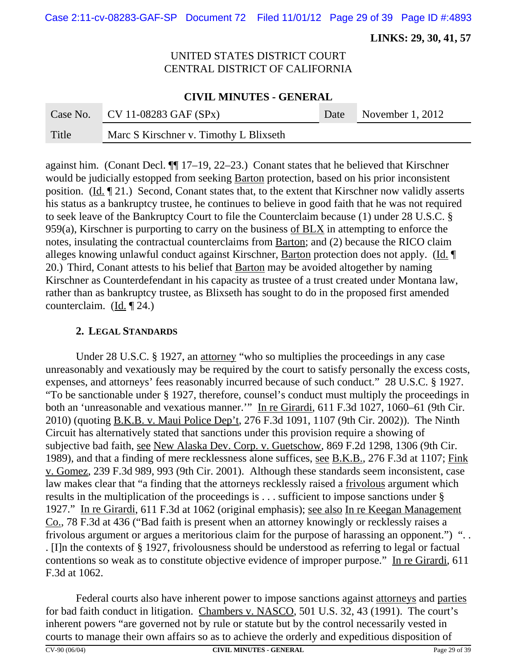Case 2:11-cv-08283-GAF-SP Document 72 Filed 11/01/12 Page 29 of 39 Page ID #:4893

 **LINKS: 29, 30, 41, 57**

# UNITED STATES DISTRICT COURT CENTRAL DISTRICT OF CALIFORNIA

#### **CIVIL MINUTES - GENERAL**

|       | Case No. CV 11-08283 GAF $(SPx)$       | Date November 1, 2012 |
|-------|----------------------------------------|-----------------------|
| Title | Marc S Kirschner v. Timothy L Blixseth |                       |

against him. (Conant Decl. ¶¶ 17–19, 22–23.) Conant states that he believed that Kirschner would be judicially estopped from seeking Barton protection, based on his prior inconsistent position. (Id. ¶ 21.) Second, Conant states that, to the extent that Kirschner now validly asserts his status as a bankruptcy trustee, he continues to believe in good faith that he was not required to seek leave of the Bankruptcy Court to file the Counterclaim because (1) under 28 U.S.C. § 959(a), Kirschner is purporting to carry on the business of BLX in attempting to enforce the notes, insulating the contractual counterclaims from Barton; and (2) because the RICO claim alleges knowing unlawful conduct against Kirschner, Barton protection does not apply. (Id. ¶ 20.)Third, Conant attests to his belief that Barton may be avoided altogether by naming Kirschner as Counterdefendant in his capacity as trustee of a trust created under Montana law, rather than as bankruptcy trustee, as Blixseth has sought to do in the proposed first amended counterclaim. (Id. ¶ 24.)

#### **2. LEGAL STANDARDS**

Under 28 U.S.C. § 1927, an attorney "who so multiplies the proceedings in any case unreasonably and vexatiously may be required by the court to satisfy personally the excess costs, expenses, and attorneys' fees reasonably incurred because of such conduct." 28 U.S.C. § 1927. "To be sanctionable under § 1927, therefore, counsel's conduct must multiply the proceedings in both an 'unreasonable and vexatious manner."" In re Girardi, 611 F.3d 1027, 1060–61 (9th Cir. 2010) (quoting B.K.B. v. Maui Police Dep't, 276 F.3d 1091, 1107 (9th Cir. 2002)). The Ninth Circuit has alternatively stated that sanctions under this provision require a showing of subjective bad faith, see New Alaska Dev. Corp. v. Guetschow, 869 F.2d 1298, 1306 (9th Cir. 1989), and that a finding of mere recklessness alone suffices, <u>see B.K.B.</u>, 276 F.3d at 1107; Fink v. Gomez, 239 F.3d 989, 993 (9th Cir. 2001). Although these standards seem inconsistent, case law makes clear that "a finding that the attorneys recklessly raised a frivolous argument which results in the multiplication of the proceedings is . . . sufficient to impose sanctions under § 1927." In re Girardi, 611 F.3d at 1062 (original emphasis); see also In re Keegan Management Co., 78 F.3d at 436 ("Bad faith is present when an attorney knowingly or recklessly raises a frivolous argument or argues a meritorious claim for the purpose of harassing an opponent.") ". . . [I]n the contexts of § 1927, frivolousness should be understood as referring to legal or factual contentions so weak as to constitute objective evidence of improper purpose." In re Girardi, 611 F.3d at 1062.

Federal courts also have inherent power to impose sanctions against attorneys and parties for bad faith conduct in litigation. Chambers v. NASCO, 501 U.S. 32, 43 (1991). The court's inherent powers "are governed not by rule or statute but by the control necessarily vested in courts to manage their own affairs so as to achieve the orderly and expeditious disposition of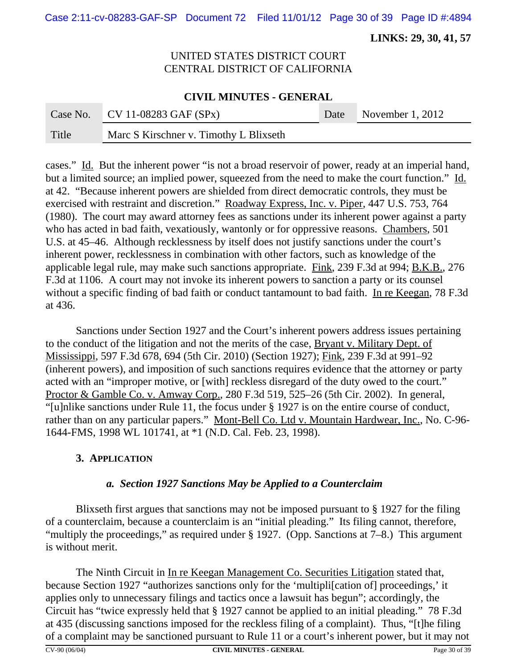Case 2:11-cv-08283-GAF-SP Document 72 Filed 11/01/12 Page 30 of 39 Page ID #:4894

 **LINKS: 29, 30, 41, 57**

# UNITED STATES DISTRICT COURT CENTRAL DISTRICT OF CALIFORNIA

### **CIVIL MINUTES - GENERAL**

|       | Case No. CV 11-08283 GAF $(SPx)$              | Date November 1, 2012 |
|-------|-----------------------------------------------|-----------------------|
| Title | <b>Marc S Kirschner v. Timothy L Blixseth</b> |                       |

cases." Id. But the inherent power "is not a broad reservoir of power, ready at an imperial hand, but a limited source; an implied power, squeezed from the need to make the court function." Id. at 42. "Because inherent powers are shielded from direct democratic controls, they must be exercised with restraint and discretion." Roadway Express, Inc. v. Piper, 447 U.S. 753, 764 (1980). The court may award attorney fees as sanctions under its inherent power against a party who has acted in bad faith, vexatiously, wantonly or for oppressive reasons. Chambers, 501 U.S. at 45–46. Although recklessness by itself does not justify sanctions under the court's inherent power, recklessness in combination with other factors, such as knowledge of the applicable legal rule, may make such sanctions appropriate. Fink, 239 F.3d at 994; B.K.B., 276 F.3d at 1106. A court may not invoke its inherent powers to sanction a party or its counsel without a specific finding of bad faith or conduct tantamount to bad faith. In re Keegan, 78 F.3d at 436.

Sanctions under Section 1927 and the Court's inherent powers address issues pertaining to the conduct of the litigation and not the merits of the case, Bryant v. Military Dept. of Mississippi, 597 F.3d 678, 694 (5th Cir. 2010) (Section 1927); Fink, 239 F.3d at 991–92 (inherent powers), and imposition of such sanctions requires evidence that the attorney or party acted with an "improper motive, or [with] reckless disregard of the duty owed to the court." Proctor & Gamble Co. v. Amway Corp., 280 F.3d 519, 525–26 (5th Cir. 2002). In general, "[u]nlike sanctions under Rule 11, the focus under § 1927 is on the entire course of conduct, rather than on any particular papers." Mont-Bell Co. Ltd v. Mountain Hardwear, Inc., No. C-96-1644-FMS, 1998 WL 101741, at \*1 (N.D. Cal. Feb. 23, 1998).

#### **3. APPLICATION**

# *a. Section 1927 Sanctions May be Applied to a Counterclaim*

Blixseth first argues that sanctions may not be imposed pursuant to § 1927 for the filing of a counterclaim, because a counterclaim is an "initial pleading." Its filing cannot, therefore, "multiply the proceedings," as required under  $\S 1927$ . (Opp. Sanctions at 7–8.) This argument is without merit.

The Ninth Circuit in In re Keegan Management Co. Securities Litigation stated that, because Section 1927 "authorizes sanctions only for the 'multipli[cation of] proceedings,' it applies only to unnecessary filings and tactics once a lawsuit has begun"; accordingly, the Circuit has "twice expressly held that § 1927 cannot be applied to an initial pleading." 78 F.3d at 435 (discussing sanctions imposed for the reckless filing of a complaint). Thus, "[t]he filing of a complaint may be sanctioned pursuant to Rule 11 or a court's inherent power, but it may not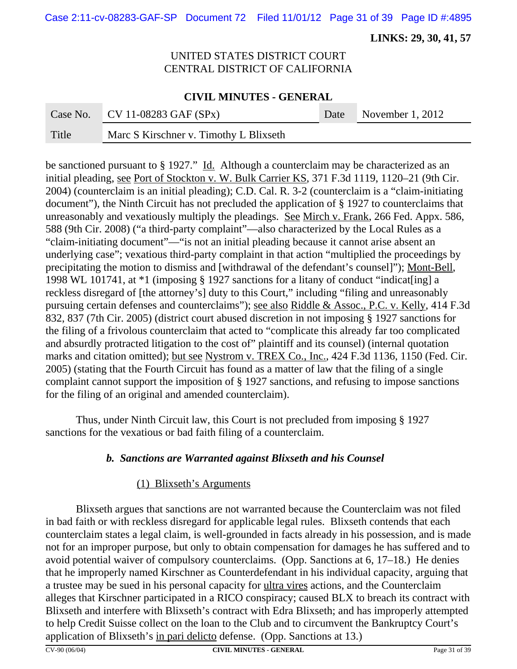Case 2:11-cv-08283-GAF-SP Document 72 Filed 11/01/12 Page 31 of 39 Page ID #:4895

 **LINKS: 29, 30, 41, 57**

# UNITED STATES DISTRICT COURT CENTRAL DISTRICT OF CALIFORNIA

#### **CIVIL MINUTES - GENERAL**

| Case No. | $CV 11-08283 GAF (SPX)$                | Date November 1, 2012 |
|----------|----------------------------------------|-----------------------|
| Title    | Marc S Kirschner v. Timothy L Blixseth |                       |

be sanctioned pursuant to § 1927." Id. Although a counterclaim may be characterized as an initial pleading, see Port of Stockton v. W. Bulk Carrier KS, 371 F.3d 1119, 1120–21 (9th Cir. 2004) (counterclaim is an initial pleading); C.D. Cal. R. 3-2 (counterclaim is a "claim-initiating document"), the Ninth Circuit has not precluded the application of § 1927 to counterclaims that unreasonably and vexatiously multiply the pleadings. See Mirch v. Frank, 266 Fed. Appx. 586, 588 (9th Cir. 2008) ("a third-party complaint"—also characterized by the Local Rules as a "claim-initiating document"—"is not an initial pleading because it cannot arise absent an underlying case"; vexatious third-party complaint in that action "multiplied the proceedings by precipitating the motion to dismiss and [withdrawal of the defendant's counsel]"); Mont-Bell, 1998 WL 101741, at \*1 (imposing § 1927 sanctions for a litany of conduct "indicat[ing] a reckless disregard of [the attorney's] duty to this Court," including "filing and unreasonably pursuing certain defenses and counterclaims"); see also Riddle & Assoc., P.C. v. Kelly, 414 F.3d 832, 837 (7th Cir. 2005) (district court abused discretion in not imposing § 1927 sanctions for the filing of a frivolous counterclaim that acted to "complicate this already far too complicated and absurdly protracted litigation to the cost of" plaintiff and its counsel) (internal quotation marks and citation omitted); but see Nystrom v. TREX Co., Inc., 424 F.3d 1136, 1150 (Fed. Cir. 2005) (stating that the Fourth Circuit has found as a matter of law that the filing of a single complaint cannot support the imposition of § 1927 sanctions, and refusing to impose sanctions for the filing of an original and amended counterclaim).

Thus, under Ninth Circuit law, this Court is not precluded from imposing § 1927 sanctions for the vexatious or bad faith filing of a counterclaim.

# *b. Sanctions are Warranted against Blixseth and his Counsel*

#### (1) Blixseth's Arguments

Blixseth argues that sanctions are not warranted because the Counterclaim was not filed in bad faith or with reckless disregard for applicable legal rules. Blixseth contends that each counterclaim states a legal claim, is well-grounded in facts already in his possession, and is made not for an improper purpose, but only to obtain compensation for damages he has suffered and to avoid potential waiver of compulsory counterclaims. (Opp. Sanctions at 6, 17–18.) He denies that he improperly named Kirschner as Counterdefendant in his individual capacity, arguing that a trustee may be sued in his personal capacity for ultra vires actions, and the Counterclaim alleges that Kirschner participated in a RICO conspiracy; caused BLX to breach its contract with Blixseth and interfere with Blixseth's contract with Edra Blixseth; and has improperly attempted to help Credit Suisse collect on the loan to the Club and to circumvent the Bankruptcy Court's application of Blixseth's in pari delicto defense. (Opp. Sanctions at 13.)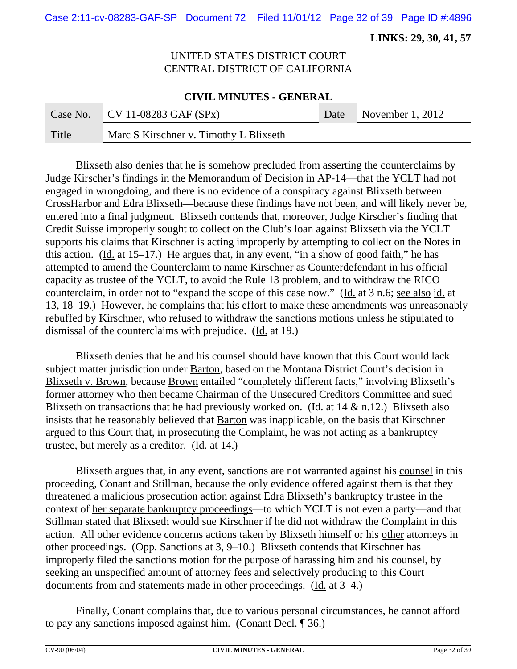Case 2:11-cv-08283-GAF-SP Document 72 Filed 11/01/12 Page 32 of 39 Page ID #:4896

 **LINKS: 29, 30, 41, 57**

# UNITED STATES DISTRICT COURT CENTRAL DISTRICT OF CALIFORNIA

#### **CIVIL MINUTES - GENERAL**

|       | Case No. CV 11-08283 GAF $(SPx)$       | Date November 1, 2012 |
|-------|----------------------------------------|-----------------------|
| Title | Marc S Kirschner v. Timothy L Blixseth |                       |

Blixseth also denies that he is somehow precluded from asserting the counterclaims by Judge Kirscher's findings in the Memorandum of Decision in AP-14—that the YCLT had not engaged in wrongdoing, and there is no evidence of a conspiracy against Blixseth between CrossHarbor and Edra Blixseth—because these findings have not been, and will likely never be, entered into a final judgment. Blixseth contends that, moreover, Judge Kirscher's finding that Credit Suisse improperly sought to collect on the Club's loan against Blixseth via the YCLT supports his claims that Kirschner is acting improperly by attempting to collect on the Notes in this action. (Id. at 15–17.) He argues that, in any event, "in a show of good faith," he has attempted to amend the Counterclaim to name Kirschner as Counterdefendant in his official capacity as trustee of the YCLT, to avoid the Rule 13 problem, and to withdraw the RICO counterclaim, in order not to "expand the scope of this case now." (Id. at 3 n.6; see also id. at 13, 18–19.) However, he complains that his effort to make these amendments was unreasonably rebuffed by Kirschner, who refused to withdraw the sanctions motions unless he stipulated to dismissal of the counterclaims with prejudice. (Id. at 19.)

Blixseth denies that he and his counsel should have known that this Court would lack subject matter jurisdiction under Barton, based on the Montana District Court's decision in Blixseth v. Brown, because Brown entailed "completely different facts," involving Blixseth's former attorney who then became Chairman of the Unsecured Creditors Committee and sued Blixseth on transactions that he had previously worked on. (Id. at  $14 \& n.12$ .) Blixseth also insists that he reasonably believed that Barton was inapplicable, on the basis that Kirschner argued to this Court that, in prosecuting the Complaint, he was not acting as a bankruptcy trustee, but merely as a creditor. (Id. at 14.)

Blixseth argues that, in any event, sanctions are not warranted against his counsel in this proceeding, Conant and Stillman, because the only evidence offered against them is that they threatened a malicious prosecution action against Edra Blixseth's bankruptcy trustee in the context of her separate bankruptcy proceedings—to which YCLT is not even a party—and that Stillman stated that Blixseth would sue Kirschner if he did not withdraw the Complaint in this action. All other evidence concerns actions taken by Blixseth himself or his other attorneys in other proceedings. (Opp. Sanctions at 3, 9–10.) Blixseth contends that Kirschner has improperly filed the sanctions motion for the purpose of harassing him and his counsel, by seeking an unspecified amount of attorney fees and selectively producing to this Court documents from and statements made in other proceedings. (Id. at 3–4.)

Finally, Conant complains that, due to various personal circumstances, he cannot afford to pay any sanctions imposed against him. (Conant Decl. ¶ 36.)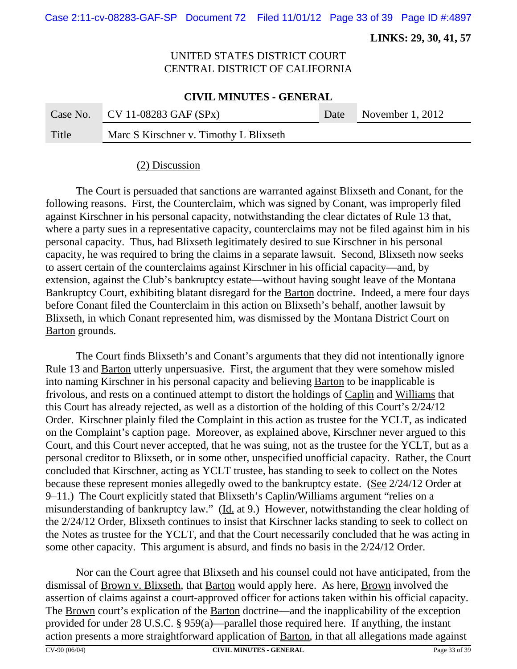Case 2:11-cv-08283-GAF-SP Document 72 Filed 11/01/12 Page 33 of 39 Page ID #:4897

 **LINKS: 29, 30, 41, 57**

# UNITED STATES DISTRICT COURT CENTRAL DISTRICT OF CALIFORNIA

#### **CIVIL MINUTES - GENERAL**

|       | Case No. CV 11-08283 GAF $(SPx)$              | Date November 1, 2012 |
|-------|-----------------------------------------------|-----------------------|
| Title | <b>Marc S Kirschner v. Timothy L Blixseth</b> |                       |

#### (2) Discussion

The Court is persuaded that sanctions are warranted against Blixseth and Conant, for the following reasons. First, the Counterclaim, which was signed by Conant, was improperly filed against Kirschner in his personal capacity, notwithstanding the clear dictates of Rule 13 that, where a party sues in a representative capacity, counterclaims may not be filed against him in his personal capacity. Thus, had Blixseth legitimately desired to sue Kirschner in his personal capacity, he was required to bring the claims in a separate lawsuit. Second, Blixseth now seeks to assert certain of the counterclaims against Kirschner in his official capacity—and, by extension, against the Club's bankruptcy estate—without having sought leave of the Montana Bankruptcy Court, exhibiting blatant disregard for the Barton doctrine. Indeed, a mere four days before Conant filed the Counterclaim in this action on Blixseth's behalf, another lawsuit by Blixseth, in which Conant represented him, was dismissed by the Montana District Court on Barton grounds.

The Court finds Blixseth's and Conant's arguments that they did not intentionally ignore Rule 13 and Barton utterly unpersuasive. First, the argument that they were somehow misled into naming Kirschner in his personal capacity and believing Barton to be inapplicable is frivolous, and rests on a continued attempt to distort the holdings of Caplin and Williams that this Court has already rejected, as well as a distortion of the holding of this Court's 2/24/12 Order. Kirschner plainly filed the Complaint in this action as trustee for the YCLT, as indicated on the Complaint's caption page. Moreover, as explained above, Kirschner never argued to this Court, and this Court never accepted, that he was suing, not as the trustee for the YCLT, but as a personal creditor to Blixseth, or in some other, unspecified unofficial capacity. Rather, the Court concluded that Kirschner, acting as YCLT trustee, has standing to seek to collect on the Notes because these represent monies allegedly owed to the bankruptcy estate. (See 2/24/12 Order at 9–11.) The Court explicitly stated that Blixseth's Caplin/Williams argument "relies on a misunderstanding of bankruptcy law." (Id. at 9.) However, notwithstanding the clear holding of the 2/24/12 Order, Blixseth continues to insist that Kirschner lacks standing to seek to collect on the Notes as trustee for the YCLT, and that the Court necessarily concluded that he was acting in some other capacity. This argument is absurd, and finds no basis in the 2/24/12 Order.

Nor can the Court agree that Blixseth and his counsel could not have anticipated, from the dismissal of Brown v. Blixseth, that Barton would apply here. As here, Brown involved the assertion of claims against a court-approved officer for actions taken within his official capacity. The **Brown** court's explication of the **Barton** doctrine—and the inapplicability of the exception provided for under 28 U.S.C. § 959(a)—parallel those required here. If anything, the instant action presents a more straightforward application of Barton, in that all allegations made against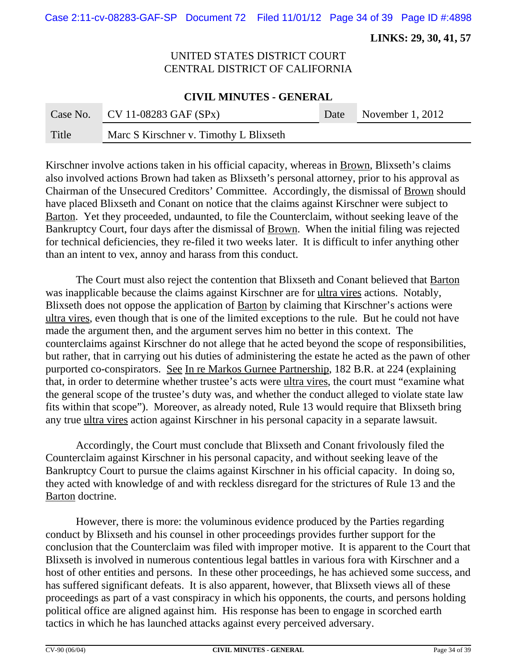Case 2:11-cv-08283-GAF-SP Document 72 Filed 11/01/12 Page 34 of 39 Page ID #:4898

 **LINKS: 29, 30, 41, 57**

# UNITED STATES DISTRICT COURT CENTRAL DISTRICT OF CALIFORNIA

#### **CIVIL MINUTES - GENERAL**

|       | Case No. CV 11-08283 GAF $(SPx)$       | Date November 1, 2012 |
|-------|----------------------------------------|-----------------------|
| Title | Marc S Kirschner v. Timothy L Blixseth |                       |

Kirschner involve actions taken in his official capacity, whereas in <u>Brown</u>, Blixseth's claims also involved actions Brown had taken as Blixseth's personal attorney, prior to his approval as Chairman of the Unsecured Creditors' Committee. Accordingly, the dismissal of Brown should have placed Blixseth and Conant on notice that the claims against Kirschner were subject to Barton. Yet they proceeded, undaunted, to file the Counterclaim, without seeking leave of the Bankruptcy Court, four days after the dismissal of Brown. When the initial filing was rejected for technical deficiencies, they re-filed it two weeks later. It is difficult to infer anything other than an intent to vex, annoy and harass from this conduct.

The Court must also reject the contention that Blixseth and Conant believed that Barton was inapplicable because the claims against Kirschner are for ultra vires actions. Notably, Blixseth does not oppose the application of **Barton** by claiming that Kirschner's actions were ultra vires, even though that is one of the limited exceptions to the rule. But he could not have made the argument then, and the argument serves him no better in this context. The counterclaims against Kirschner do not allege that he acted beyond the scope of responsibilities, but rather, that in carrying out his duties of administering the estate he acted as the pawn of other purported co-conspirators. See In re Markos Gurnee Partnership, 182 B.R. at 224 (explaining that, in order to determine whether trustee's acts were ultra vires, the court must "examine what the general scope of the trustee's duty was, and whether the conduct alleged to violate state law fits within that scope"). Moreover, as already noted, Rule 13 would require that Blixseth bring any true ultra vires action against Kirschner in his personal capacity in a separate lawsuit.

Accordingly, the Court must conclude that Blixseth and Conant frivolously filed the Counterclaim against Kirschner in his personal capacity, and without seeking leave of the Bankruptcy Court to pursue the claims against Kirschner in his official capacity. In doing so, they acted with knowledge of and with reckless disregard for the strictures of Rule 13 and the Barton doctrine.

However, there is more: the voluminous evidence produced by the Parties regarding conduct by Blixseth and his counsel in other proceedings provides further support for the conclusion that the Counterclaim was filed with improper motive. It is apparent to the Court that Blixseth is involved in numerous contentious legal battles in various fora with Kirschner and a host of other entities and persons. In these other proceedings, he has achieved some success, and has suffered significant defeats. It is also apparent, however, that Blixseth views all of these proceedings as part of a vast conspiracy in which his opponents, the courts, and persons holding political office are aligned against him. His response has been to engage in scorched earth tactics in which he has launched attacks against every perceived adversary.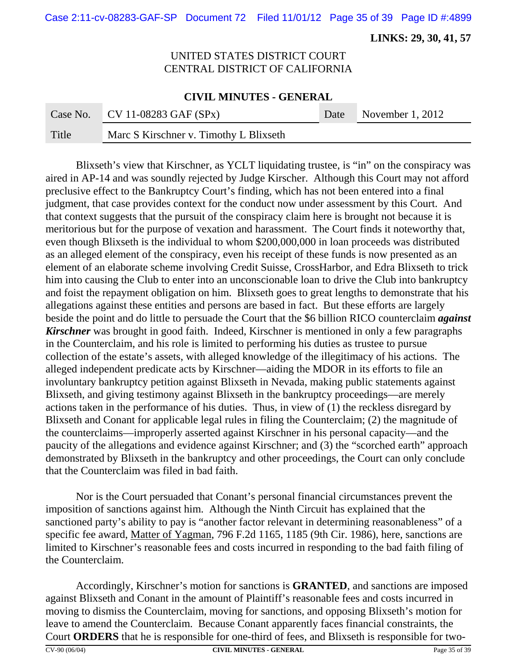Case 2:11-cv-08283-GAF-SP Document 72 Filed 11/01/12 Page 35 of 39 Page ID #:4899

 **LINKS: 29, 30, 41, 57**

# UNITED STATES DISTRICT COURT CENTRAL DISTRICT OF CALIFORNIA

#### **CIVIL MINUTES - GENERAL**

|       | Case No. CV 11-08283 GAF $(SPx)$       | Date November 1, 2012 |
|-------|----------------------------------------|-----------------------|
| Title | Marc S Kirschner v. Timothy L Blixseth |                       |

Blixseth's view that Kirschner, as YCLT liquidating trustee, is "in" on the conspiracy was aired in AP-14 and was soundly rejected by Judge Kirscher. Although this Court may not afford preclusive effect to the Bankruptcy Court's finding, which has not been entered into a final judgment, that case provides context for the conduct now under assessment by this Court. And that context suggests that the pursuit of the conspiracy claim here is brought not because it is meritorious but for the purpose of vexation and harassment. The Court finds it noteworthy that, even though Blixseth is the individual to whom \$200,000,000 in loan proceeds was distributed as an alleged element of the conspiracy, even his receipt of these funds is now presented as an element of an elaborate scheme involving Credit Suisse, CrossHarbor, and Edra Blixseth to trick him into causing the Club to enter into an unconscionable loan to drive the Club into bankruptcy and foist the repayment obligation on him. Blixseth goes to great lengths to demonstrate that his allegations against these entities and persons are based in fact. But these efforts are largely beside the point and do little to persuade the Court that the \$6 billion RICO counterclaim *against Kirschner* was brought in good faith. Indeed, Kirschner is mentioned in only a few paragraphs in the Counterclaim, and his role is limited to performing his duties as trustee to pursue collection of the estate's assets, with alleged knowledge of the illegitimacy of his actions. The alleged independent predicate acts by Kirschner—aiding the MDOR in its efforts to file an involuntary bankruptcy petition against Blixseth in Nevada, making public statements against Blixseth, and giving testimony against Blixseth in the bankruptcy proceedings—are merely actions taken in the performance of his duties. Thus, in view of (1) the reckless disregard by Blixseth and Conant for applicable legal rules in filing the Counterclaim; (2) the magnitude of the counterclaims—improperly asserted against Kirschner in his personal capacity—and the paucity of the allegations and evidence against Kirschner; and (3) the "scorched earth" approach demonstrated by Blixseth in the bankruptcy and other proceedings, the Court can only conclude that the Counterclaim was filed in bad faith.

Nor is the Court persuaded that Conant's personal financial circumstances prevent the imposition of sanctions against him. Although the Ninth Circuit has explained that the sanctioned party's ability to pay is "another factor relevant in determining reasonableness" of a specific fee award, Matter of Yagman, 796 F.2d 1165, 1185 (9th Cir. 1986), here, sanctions are limited to Kirschner's reasonable fees and costs incurred in responding to the bad faith filing of the Counterclaim.

Accordingly, Kirschner's motion for sanctions is **GRANTED**, and sanctions are imposed against Blixseth and Conant in the amount of Plaintiff's reasonable fees and costs incurred in moving to dismiss the Counterclaim, moving for sanctions, and opposing Blixseth's motion for leave to amend the Counterclaim. Because Conant apparently faces financial constraints, the Court **ORDERS** that he is responsible for one-third of fees, and Blixseth is responsible for two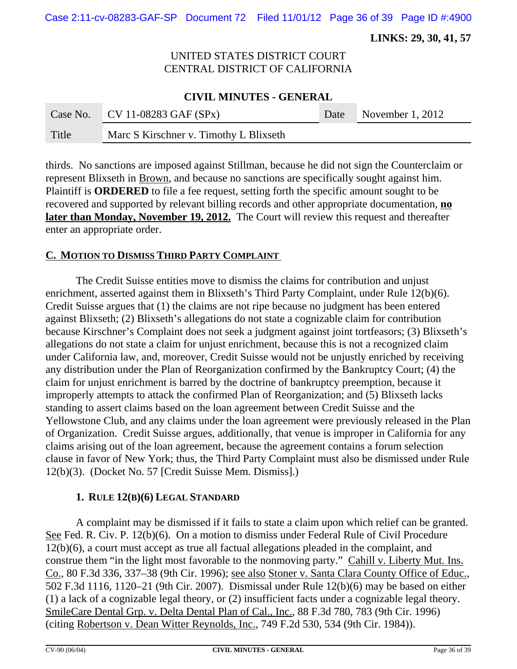Case 2:11-cv-08283-GAF-SP Document 72 Filed 11/01/12 Page 36 of 39 Page ID #:4900

 **LINKS: 29, 30, 41, 57**

# UNITED STATES DISTRICT COURT CENTRAL DISTRICT OF CALIFORNIA

#### **CIVIL MINUTES - GENERAL**

|       | Case No. CV 11-08283 GAF $(SPx)$       | Date November 1, 2012 |
|-------|----------------------------------------|-----------------------|
| Title | Marc S Kirschner v. Timothy L Blixseth |                       |

thirds. No sanctions are imposed against Stillman, because he did not sign the Counterclaim or represent Blixseth in Brown, and because no sanctions are specifically sought against him. Plaintiff is **ORDERED** to file a fee request, setting forth the specific amount sought to be recovered and supported by relevant billing records and other appropriate documentation, **no later than Monday, November 19, 2012.** The Court will review this request and thereafter enter an appropriate order.

#### **C. MOTION TO DISMISS THIRD PARTY COMPLAINT**

The Credit Suisse entities move to dismiss the claims for contribution and unjust enrichment, asserted against them in Blixseth's Third Party Complaint, under Rule 12(b)(6). Credit Suisse argues that (1) the claims are not ripe because no judgment has been entered against Blixseth; (2) Blixseth's allegations do not state a cognizable claim for contribution because Kirschner's Complaint does not seek a judgment against joint tortfeasors; (3) Blixseth's allegations do not state a claim for unjust enrichment, because this is not a recognized claim under California law, and, moreover, Credit Suisse would not be unjustly enriched by receiving any distribution under the Plan of Reorganization confirmed by the Bankruptcy Court; (4) the claim for unjust enrichment is barred by the doctrine of bankruptcy preemption, because it improperly attempts to attack the confirmed Plan of Reorganization; and (5) Blixseth lacks standing to assert claims based on the loan agreement between Credit Suisse and the Yellowstone Club, and any claims under the loan agreement were previously released in the Plan of Organization. Credit Suisse argues, additionally, that venue is improper in California for any claims arising out of the loan agreement, because the agreement contains a forum selection clause in favor of New York; thus, the Third Party Complaint must also be dismissed under Rule 12(b)(3). (Docket No. 57 [Credit Suisse Mem. Dismiss].)

#### **1. RULE 12(B)(6) LEGAL STANDARD**

A complaint may be dismissed if it fails to state a claim upon which relief can be granted. See Fed. R. Civ. P. 12(b)(6). On a motion to dismiss under Federal Rule of Civil Procedure 12(b)(6), a court must accept as true all factual allegations pleaded in the complaint, and construe them "in the light most favorable to the nonmoving party." Cahill v. Liberty Mut. Ins. Co., 80 F.3d 336, 337–38 (9th Cir. 1996); see also Stoner v. Santa Clara County Office of Educ., 502 F.3d 1116, 1120–21 (9th Cir. 2007). Dismissal under Rule 12(b)(6) may be based on either (1) a lack of a cognizable legal theory, or (2) insufficient facts under a cognizable legal theory. SmileCare Dental Grp. v. Delta Dental Plan of Cal., Inc., 88 F.3d 780, 783 (9th Cir. 1996) (citing Robertson v. Dean Witter Reynolds, Inc., 749 F.2d 530, 534 (9th Cir. 1984)).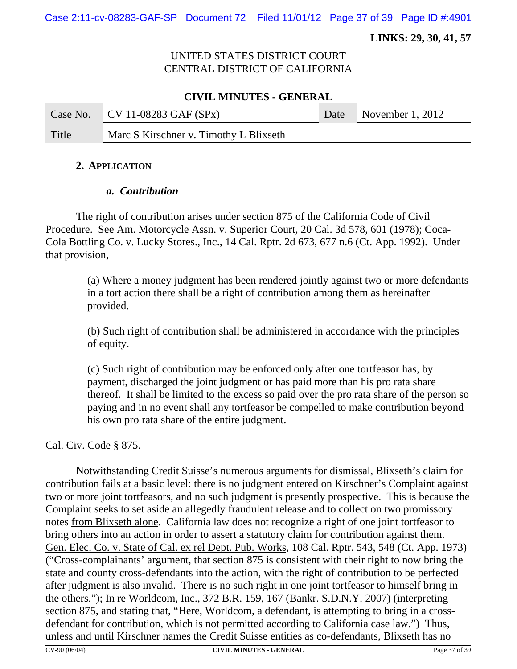Case 2:11-cv-08283-GAF-SP Document 72 Filed 11/01/12 Page 37 of 39 Page ID #:4901

 **LINKS: 29, 30, 41, 57**

## UNITED STATES DISTRICT COURT CENTRAL DISTRICT OF CALIFORNIA

### **CIVIL MINUTES - GENERAL**

|       | Case No. CV 11-08283 GAF $(SPx)$       | Date November 1, 2012 |
|-------|----------------------------------------|-----------------------|
| Title | Marc S Kirschner v. Timothy L Blixseth |                       |

#### **2. APPLICATION**

#### *a. Contribution*

The right of contribution arises under section 875 of the California Code of Civil Procedure. See Am. Motorcycle Assn. v. Superior Court, 20 Cal. 3d 578, 601 (1978); Coca-Cola Bottling Co. v. Lucky Stores., Inc., 14 Cal. Rptr. 2d 673, 677 n.6 (Ct. App. 1992). Under that provision,

(a) Where a money judgment has been rendered jointly against two or more defendants in a tort action there shall be a right of contribution among them as hereinafter provided.

(b) Such right of contribution shall be administered in accordance with the principles of equity.

(c) Such right of contribution may be enforced only after one tortfeasor has, by payment, discharged the joint judgment or has paid more than his pro rata share thereof. It shall be limited to the excess so paid over the pro rata share of the person so paying and in no event shall any tortfeasor be compelled to make contribution beyond his own pro rata share of the entire judgment.

Cal. Civ. Code § 875.

Notwithstanding Credit Suisse's numerous arguments for dismissal, Blixseth's claim for contribution fails at a basic level: there is no judgment entered on Kirschner's Complaint against two or more joint tortfeasors, and no such judgment is presently prospective. This is because the Complaint seeks to set aside an allegedly fraudulent release and to collect on two promissory notes from Blixseth alone. California law does not recognize a right of one joint tortfeasor to bring others into an action in order to assert a statutory claim for contribution against them. Gen. Elec. Co. v. State of Cal. ex rel Dept. Pub. Works, 108 Cal. Rptr. 543, 548 (Ct. App. 1973) ("Cross-complainants' argument, that section 875 is consistent with their right to now bring the state and county cross-defendants into the action, with the right of contribution to be perfected after judgment is also invalid. There is no such right in one joint tortfeasor to himself bring in the others."); In re Worldcom, Inc., 372 B.R. 159, 167 (Bankr. S.D.N.Y. 2007) (interpreting section 875, and stating that, "Here, Worldcom, a defendant, is attempting to bring in a crossdefendant for contribution, which is not permitted according to California case law.") Thus, unless and until Kirschner names the Credit Suisse entities as co-defendants, Blixseth has no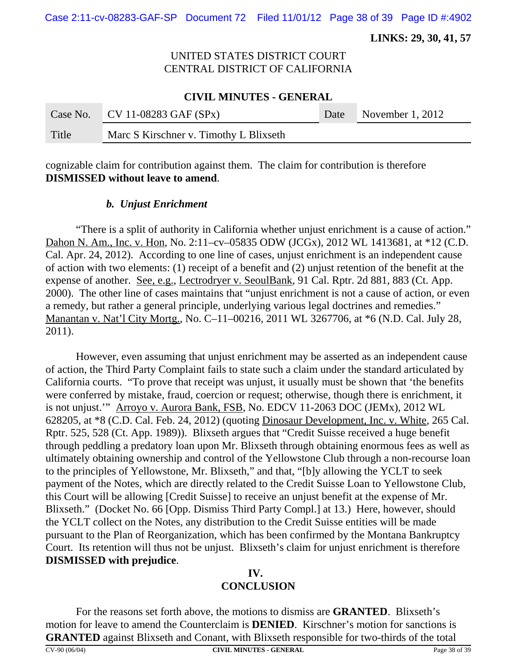Case 2:11-cv-08283-GAF-SP Document 72 Filed 11/01/12 Page 38 of 39 Page ID #:4902

 **LINKS: 29, 30, 41, 57**

# UNITED STATES DISTRICT COURT CENTRAL DISTRICT OF CALIFORNIA

#### **CIVIL MINUTES - GENERAL**

|       | Case No. CV 11-08283 GAF $(SPx)$       | Date November 1, 2012 |
|-------|----------------------------------------|-----------------------|
| Title | Marc S Kirschner v. Timothy L Blixseth |                       |

cognizable claim for contribution against them. The claim for contribution is therefore **DISMISSED without leave to amend**.

#### *b. Unjust Enrichment*

"There is a split of authority in California whether unjust enrichment is a cause of action." Dahon N. Am., Inc. v. Hon, No. 2:11–cv–05835 ODW (JCGx), 2012 WL 1413681, at \*12 (C.D. Cal. Apr. 24, 2012). According to one line of cases, unjust enrichment is an independent cause of action with two elements: (1) receipt of a benefit and (2) unjust retention of the benefit at the expense of another. See, e.g., Lectrodryer v. SeoulBank, 91 Cal. Rptr. 2d 881, 883 (Ct. App. 2000). The other line of cases maintains that "unjust enrichment is not a cause of action, or even a remedy, but rather a general principle, underlying various legal doctrines and remedies." Manantan v. Nat'l City Mortg., No. C–11–00216, 2011 WL 3267706, at \*6 (N.D. Cal. July 28, 2011).

However, even assuming that unjust enrichment may be asserted as an independent cause of action, the Third Party Complaint fails to state such a claim under the standard articulated by California courts. "To prove that receipt was unjust, it usually must be shown that 'the benefits were conferred by mistake, fraud, coercion or request; otherwise, though there is enrichment, it is not unjust.'" Arroyo v. Aurora Bank, FSB, No. EDCV 11-2063 DOC (JEMx), 2012 WL 628205, at \*8 (C.D. Cal. Feb. 24, 2012) (quoting Dinosaur Development, Inc. v. White, 265 Cal. Rptr. 525, 528 (Ct. App. 1989)). Blixseth argues that "Credit Suisse received a huge benefit through peddling a predatory loan upon Mr. Blixseth through obtaining enormous fees as well as ultimately obtaining ownership and control of the Yellowstone Club through a non-recourse loan to the principles of Yellowstone, Mr. Blixseth," and that, "[b]y allowing the YCLT to seek payment of the Notes, which are directly related to the Credit Suisse Loan to Yellowstone Club, this Court will be allowing [Credit Suisse] to receive an unjust benefit at the expense of Mr. Blixseth." (Docket No. 66 [Opp. Dismiss Third Party Compl.] at 13.) Here, however, should the YCLT collect on the Notes, any distribution to the Credit Suisse entities will be made pursuant to the Plan of Reorganization, which has been confirmed by the Montana Bankruptcy Court. Its retention will thus not be unjust. Blixseth's claim for unjust enrichment is therefore **DISMISSED with prejudice**.

#### **IV. CONCLUSION**

For the reasons set forth above, the motions to dismiss are **GRANTED**. Blixseth's motion for leave to amend the Counterclaim is **DENIED**. Kirschner's motion for sanctions is **GRANTED** against Blixseth and Conant, with Blixseth responsible for two-thirds of the total